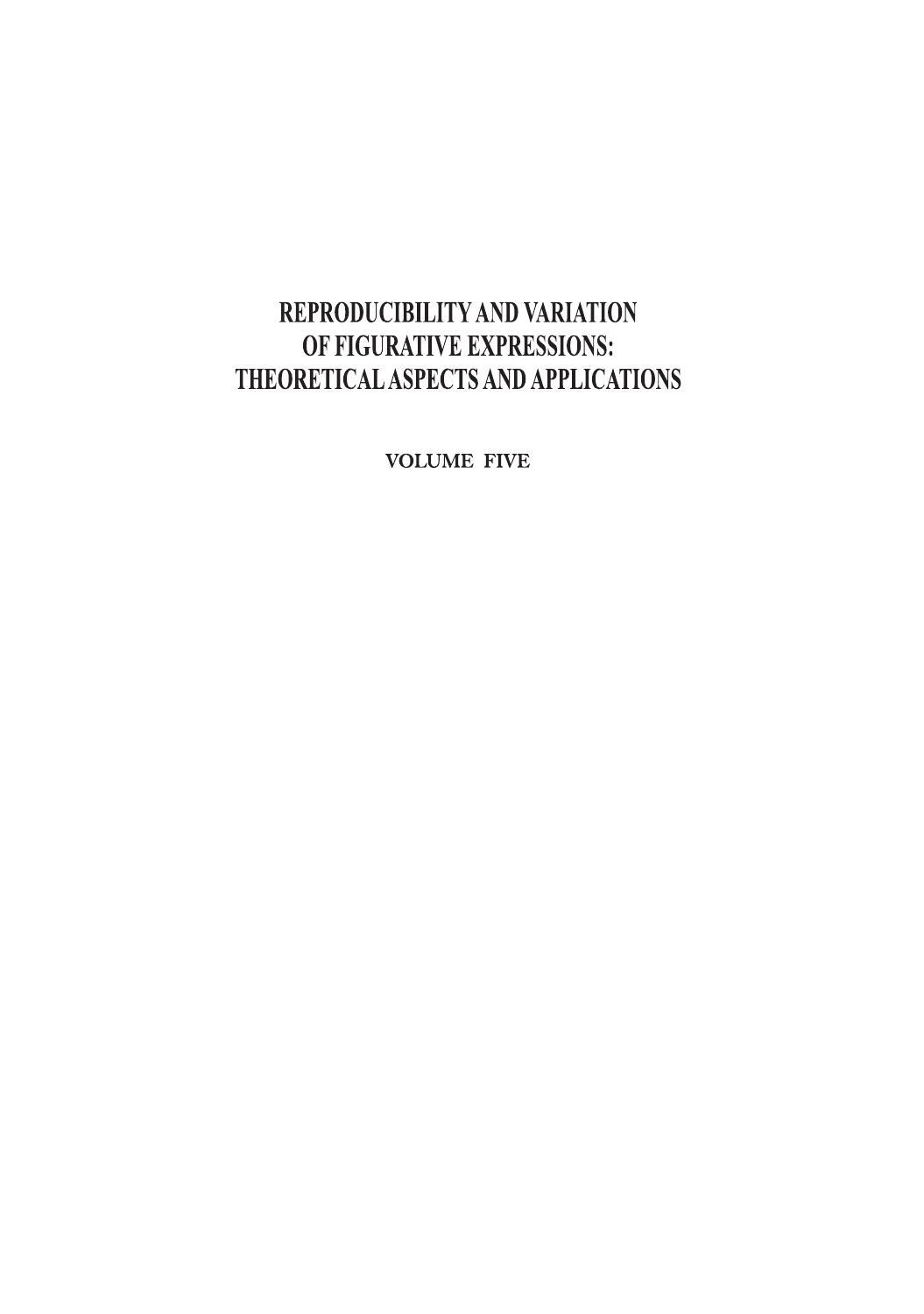# REPRODUCIBILITY AND VARIATION OF FIGURATIVE EXPRESSIONS: THEORETICAL ASPECTS AND APPLICATIONS

**VOLUME FIVE**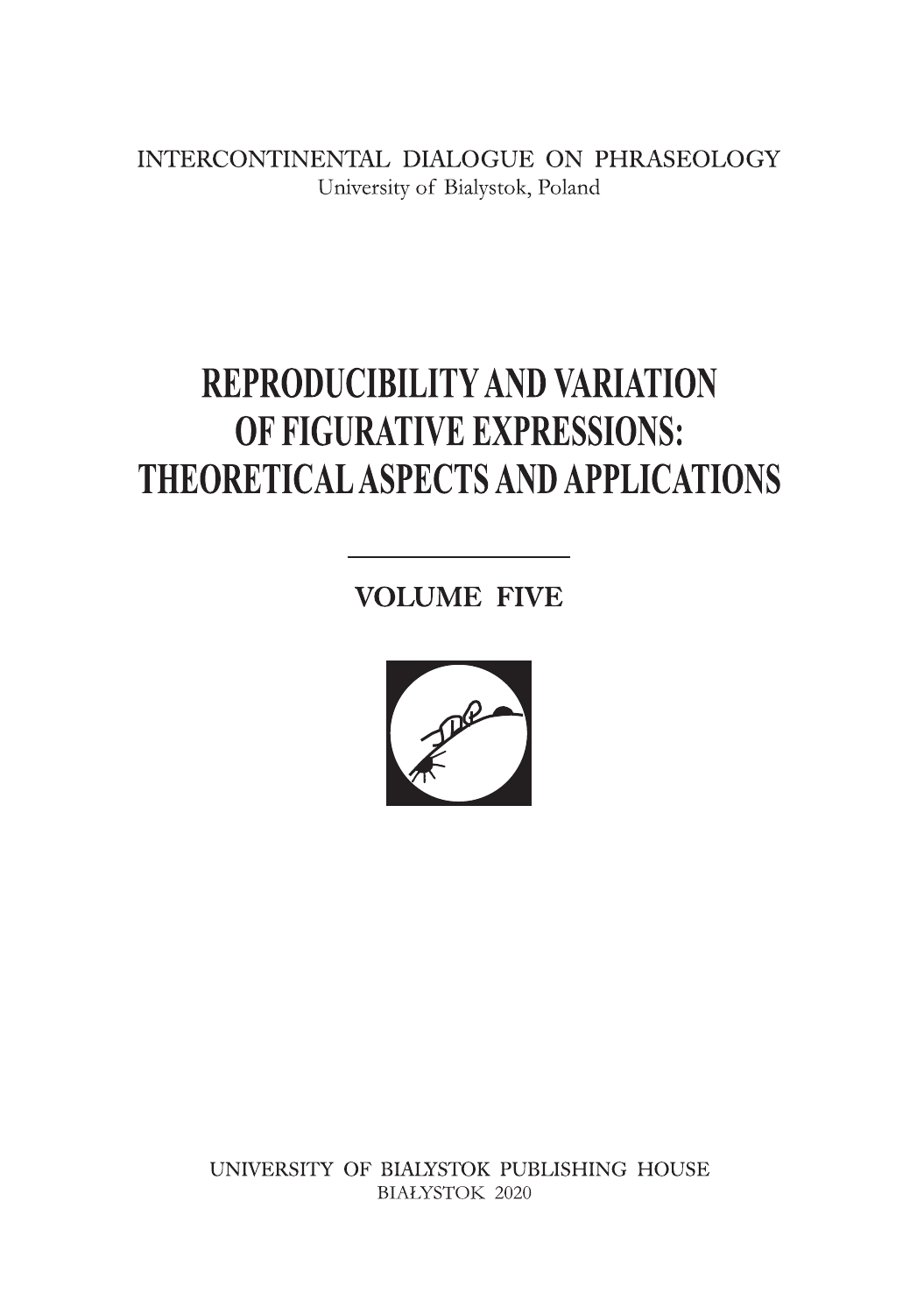INTERCONTINENTAL DIALOGUE ON PHRASEOLOGY University of Bialystok, Poland

# **REPRODUCIBILITY AND VARIATION** OF FIGURATIVE EXPRESSIONS: **THEORETICAL ASPECTS AND APPLICATIONS**

**VOLUME FIVE** 



UNIVERSITY OF BIALYSTOK PUBLISHING HOUSE **BIAŁYSTOK 2020**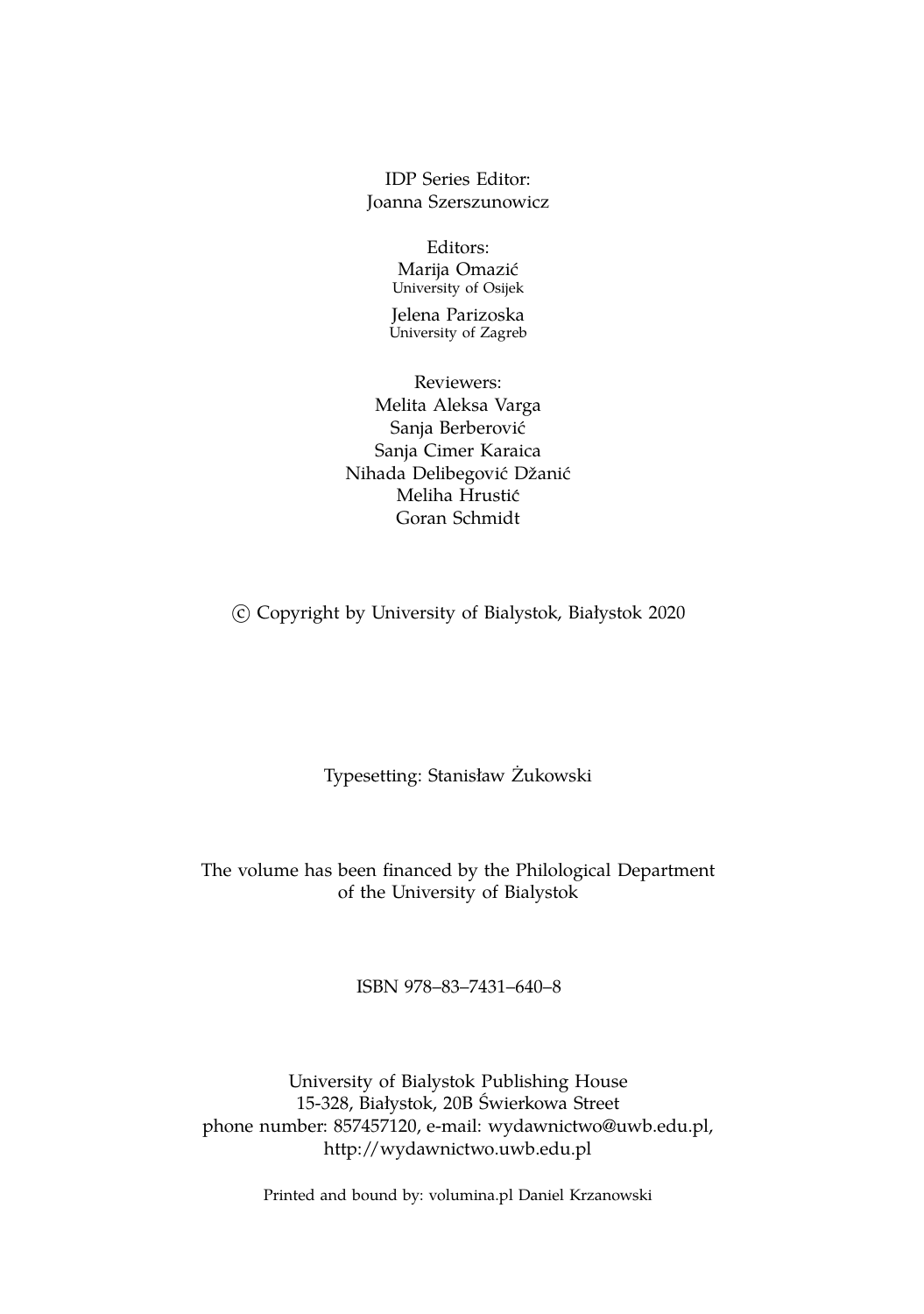IDP Series Editor: Joanna Szerszunowicz

> Editors: Marija Omazić University of Osijek

Jelena Parizoska University of Zagreb

Reviewers: Melita Aleksa Varga Sanja Berberovic´ Sanja Cimer Karaica Nihada Delibegović Džanić Meliha Hrustic´ Goran Schmidt

c Copyright by University of Bialystok, Białystok 2020

Typesetting: Stanisław Żukowski

The volume has been financed by the Philological Department of the University of Bialystok

ISBN 978–83–7431–640–8

University of Bialystok Publishing House 15-328, Białystok, 20B Świerkowa Street phone number: 857457120, e-mail: wydawnictwo@uwb.edu.pl, http://wydawnictwo.uwb.edu.pl

Printed and bound by: volumina.pl Daniel Krzanowski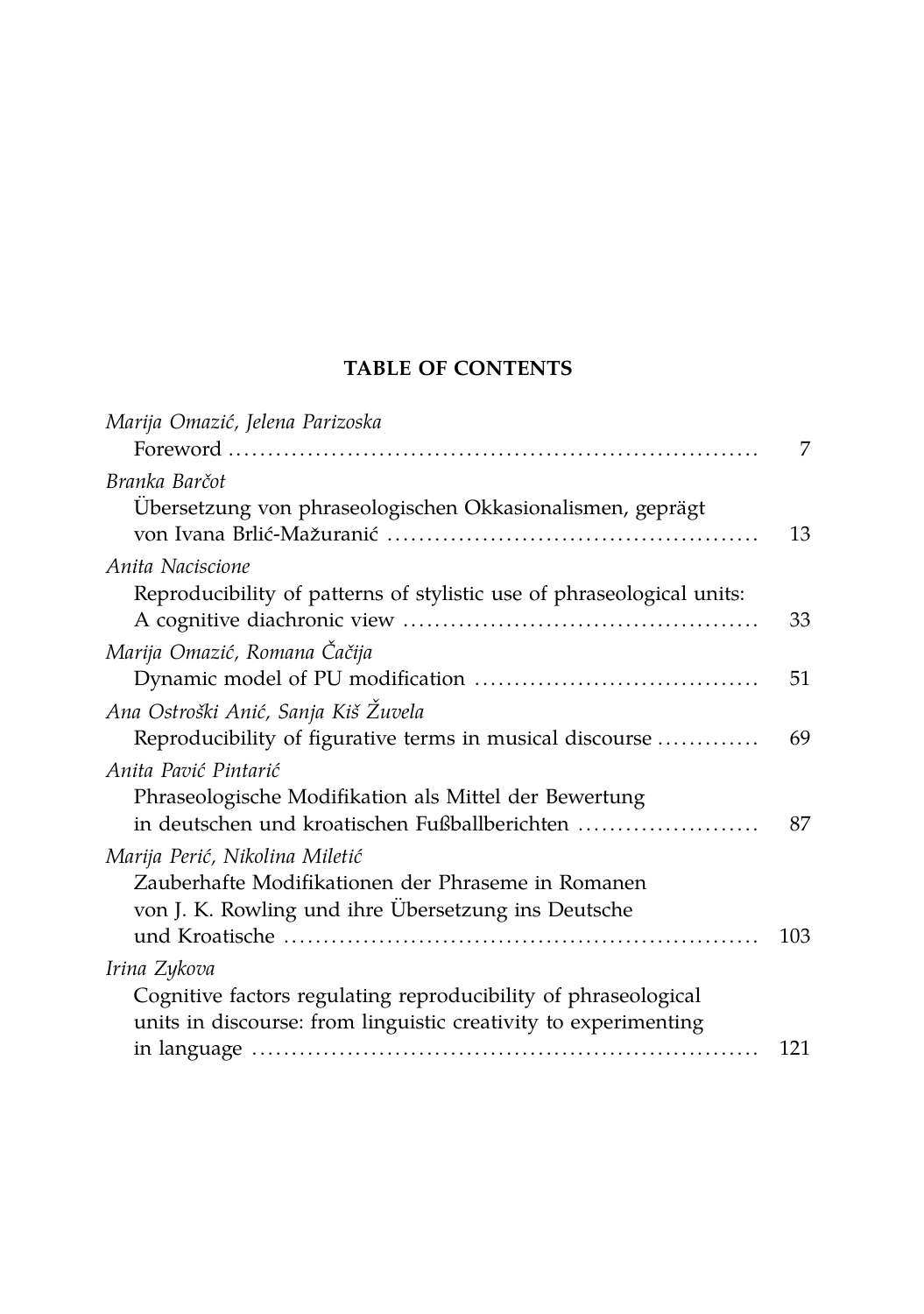# **TABLE OF CONTENTS**

| Marija Omazić, Jelena Parizoska                                                                                                   |     |
|-----------------------------------------------------------------------------------------------------------------------------------|-----|
|                                                                                                                                   | 7   |
| Branka Barčot                                                                                                                     |     |
| Übersetzung von phraseologischen Okkasionalismen, geprägt                                                                         | 13  |
| Anita Naciscione                                                                                                                  |     |
| Reproducibility of patterns of stylistic use of phraseological units:                                                             | 33  |
| Marija Omazić, Romana Čačija                                                                                                      |     |
|                                                                                                                                   | 51  |
| Ana Ostroški Anić, Sanja Kiš Žuvela                                                                                               |     |
| Reproducibility of figurative terms in musical discourse                                                                          | 69  |
| Anita Pavić Pintarić                                                                                                              |     |
| Phraseologische Modifikation als Mittel der Bewertung<br>in deutschen und kroatischen Fußballberichten                            | 87  |
| Marija Perić, Nikolina Miletić                                                                                                    |     |
| Zauberhafte Modifikationen der Phraseme in Romanen<br>von J. K. Rowling und ihre Ubersetzung ins Deutsche                         |     |
|                                                                                                                                   | 103 |
| Irina Zykova                                                                                                                      |     |
| Cognitive factors regulating reproducibility of phraseological<br>units in discourse: from linguistic creativity to experimenting |     |
|                                                                                                                                   | 121 |
|                                                                                                                                   |     |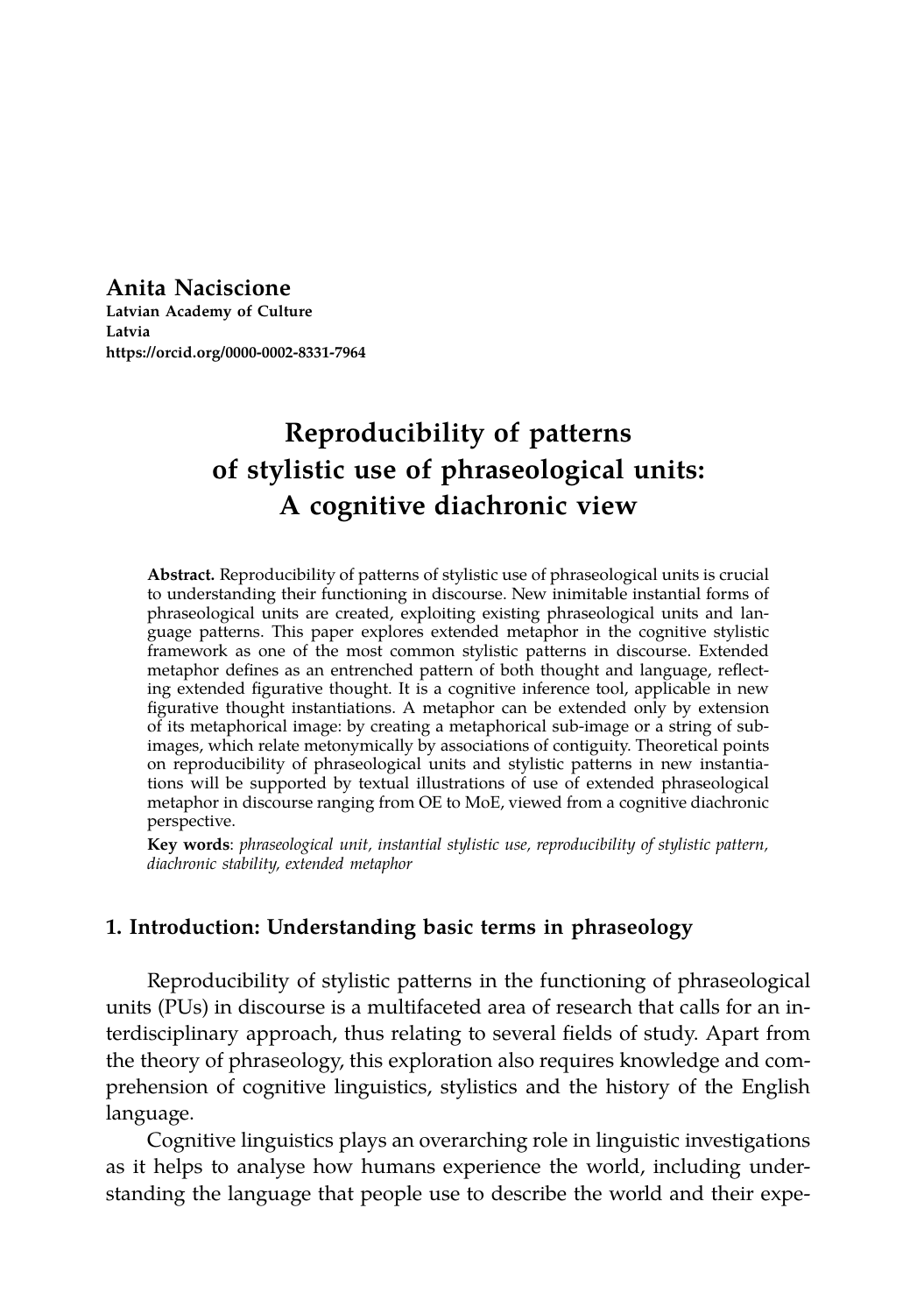**Anita Naciscione Latvian Academy of Culture Latvia https://orcid.org/0000-0002-8331-7964**

# **Reproducibility of patterns of stylistic use of phraseological units: A cognitive diachronic view**

**Abstract.** Reproducibility of patterns of stylistic use of phraseological units is crucial to understanding their functioning in discourse. New inimitable instantial forms of phraseological units are created, exploiting existing phraseological units and language patterns. This paper explores extended metaphor in the cognitive stylistic framework as one of the most common stylistic patterns in discourse. Extended metaphor defines as an entrenched pattern of both thought and language, reflecting extended figurative thought. It is a cognitive inference tool, applicable in new figurative thought instantiations. A metaphor can be extended only by extension of its metaphorical image: by creating a metaphorical sub-image or a string of subimages, which relate metonymically by associations of contiguity. Theoretical points on reproducibility of phraseological units and stylistic patterns in new instantiations will be supported by textual illustrations of use of extended phraseological metaphor in discourse ranging from OE to MoE, viewed from a cognitive diachronic perspective.

**Key words**: *phraseological unit, instantial stylistic use, reproducibility of stylistic pattern, diachronic stability, extended metaphor*

### **1. Introduction: Understanding basic terms in phraseology**

Reproducibility of stylistic patterns in the functioning of phraseological units (PUs) in discourse is a multifaceted area of research that calls for an interdisciplinary approach, thus relating to several fields of study. Apart from the theory of phraseology, this exploration also requires knowledge and comprehension of cognitive linguistics, stylistics and the history of the English language.

Cognitive linguistics plays an overarching role in linguistic investigations as it helps to analyse how humans experience the world, including understanding the language that people use to describe the world and their expe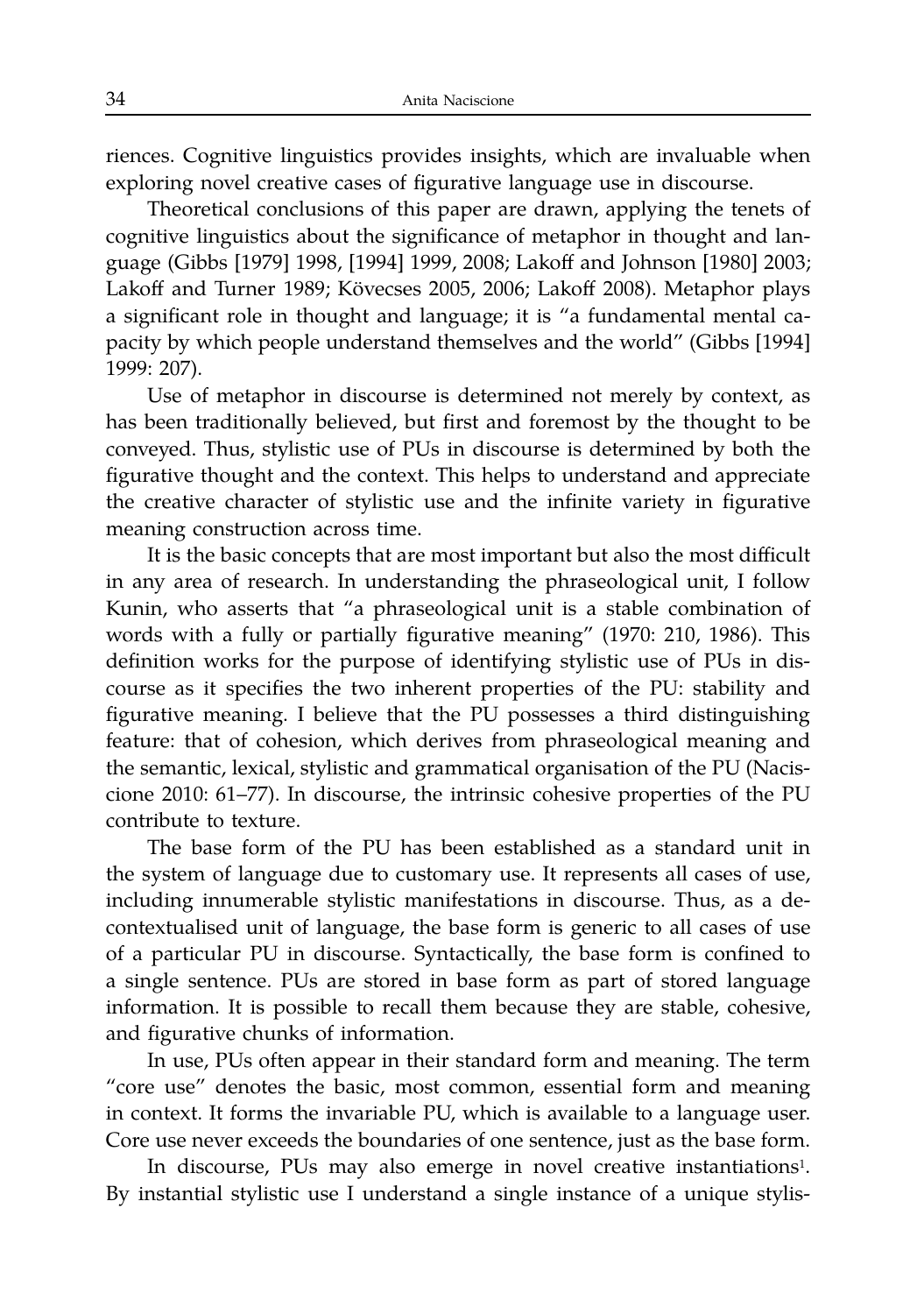riences. Cognitive linguistics provides insights, which are invaluable when exploring novel creative cases of figurative language use in discourse.

Theoretical conclusions of this paper are drawn, applying the tenets of cognitive linguistics about the significance of metaphor in thought and language (Gibbs [1979] 1998, [1994] 1999, 2008; Lakoff and Johnson [1980] 2003; Lakoff and Turner 1989; Kövecses 2005, 2006; Lakoff 2008). Metaphor plays a significant role in thought and language; it is "a fundamental mental capacity by which people understand themselves and the world" (Gibbs [1994] 1999: 207).

Use of metaphor in discourse is determined not merely by context, as has been traditionally believed, but first and foremost by the thought to be conveyed. Thus, stylistic use of PUs in discourse is determined by both the figurative thought and the context. This helps to understand and appreciate the creative character of stylistic use and the infinite variety in figurative meaning construction across time.

It is the basic concepts that are most important but also the most difficult in any area of research. In understanding the phraseological unit, I follow Kunin, who asserts that "a phraseological unit is a stable combination of words with a fully or partially figurative meaning" (1970: 210, 1986). This definition works for the purpose of identifying stylistic use of PUs in discourse as it specifies the two inherent properties of the PU: stability and figurative meaning. I believe that the PU possesses a third distinguishing feature: that of cohesion, which derives from phraseological meaning and the semantic, lexical, stylistic and grammatical organisation of the PU (Naciscione 2010: 61–77). In discourse, the intrinsic cohesive properties of the PU contribute to texture.

The base form of the PU has been established as a standard unit in the system of language due to customary use. It represents all cases of use, including innumerable stylistic manifestations in discourse. Thus, as a decontextualised unit of language, the base form is generic to all cases of use of a particular PU in discourse. Syntactically, the base form is confined to a single sentence. PUs are stored in base form as part of stored language information. It is possible to recall them because they are stable, cohesive, and figurative chunks of information.

In use, PUs often appear in their standard form and meaning. The term "core use" denotes the basic, most common, essential form and meaning in context. It forms the invariable PU, which is available to a language user. Core use never exceeds the boundaries of one sentence, just as the base form.

In discourse, PUs may also emerge in novel creative instantiations<sup>1</sup>. By instantial stylistic use I understand a single instance of a unique stylis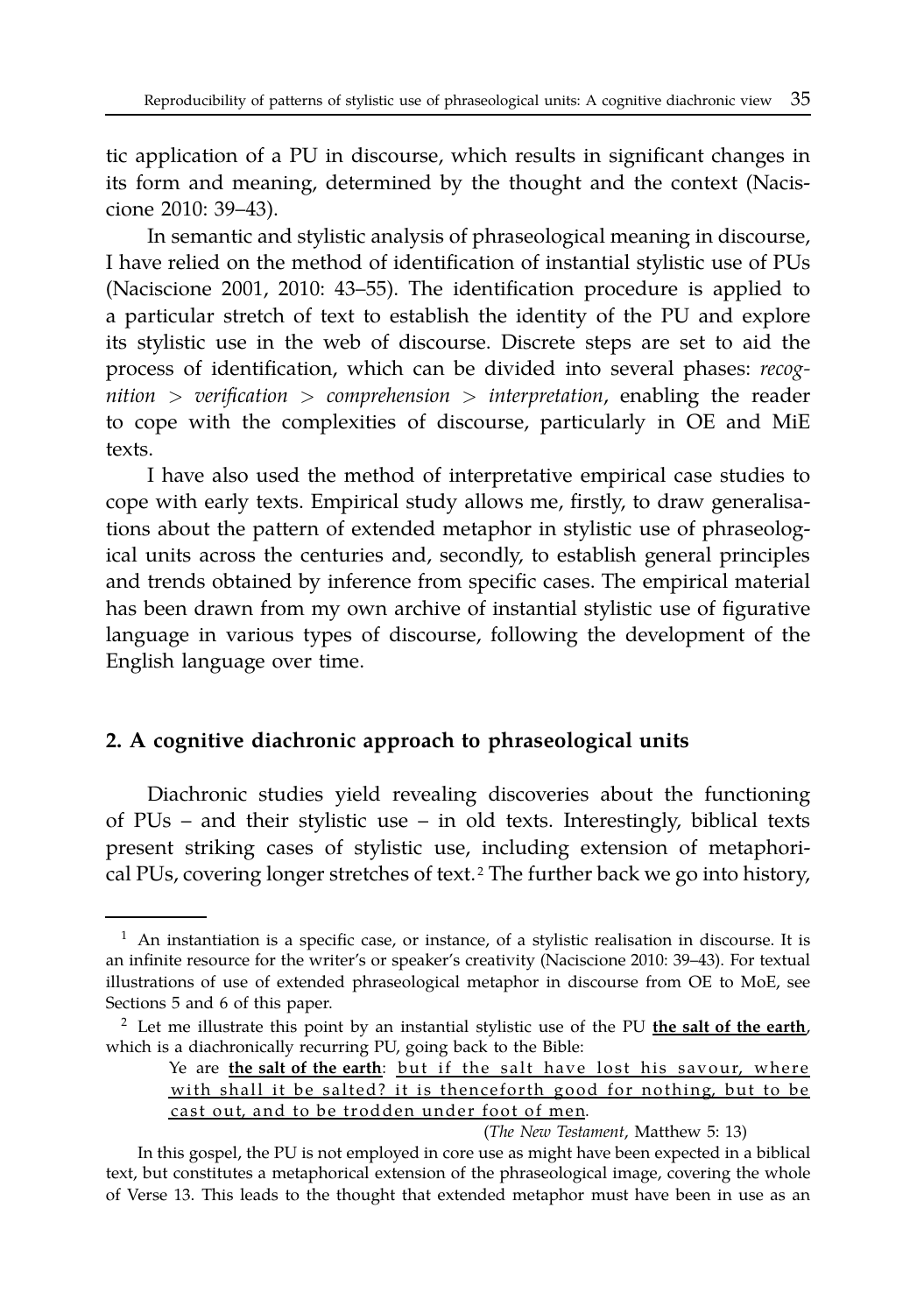tic application of a PU in discourse, which results in significant changes in its form and meaning, determined by the thought and the context (Naciscione 2010: 39–43).

In semantic and stylistic analysis of phraseological meaning in discourse, I have relied on the method of identification of instantial stylistic use of PUs (Naciscione 2001, 2010: 43–55). The identification procedure is applied to a particular stretch of text to establish the identity of the PU and explore its stylistic use in the web of discourse. Discrete steps are set to aid the process of identification, which can be divided into several phases: *recognition* > *verification* > *comprehension* > *interpretation*, enabling the reader to cope with the complexities of discourse, particularly in OE and MiE texts.

I have also used the method of interpretative empirical case studies to cope with early texts. Empirical study allows me, firstly, to draw generalisations about the pattern of extended metaphor in stylistic use of phraseological units across the centuries and, secondly, to establish general principles and trends obtained by inference from specific cases. The empirical material has been drawn from my own archive of instantial stylistic use of figurative language in various types of discourse, following the development of the English language over time.

#### **2. A cognitive diachronic approach to phraseological units**

Diachronic studies yield revealing discoveries about the functioning of PUs – and their stylistic use – in old texts. Interestingly, biblical texts present striking cases of stylistic use, including extension of metaphorical PUs, covering longer stretches of text. <sup>2</sup> The further back we go into history,

(*The New Testament*, Matthew 5: 13)

<sup>&</sup>lt;sup>1</sup> An instantiation is a specific case, or instance, of a stylistic realisation in discourse. It is an infinite resource for the writer's or speaker's creativity (Naciscione 2010: 39–43). For textual illustrations of use of extended phraseological metaphor in discourse from OE to MoE, see Sections 5 and 6 of this paper.

<sup>2</sup> Let me illustrate this point by an instantial stylistic use of the PU **the salt of the earth**, which is a diachronically recurring PU, going back to the Bible:

Ye are the salt of the earth: but if the salt have lost his savour, where with shall it be salted? it is thenceforth good for nothing, but to be cast out, and to be trodden under foot of men.

In this gospel, the PU is not employed in core use as might have been expected in a biblical text, but constitutes a metaphorical extension of the phraseological image, covering the whole of Verse 13. This leads to the thought that extended metaphor must have been in use as an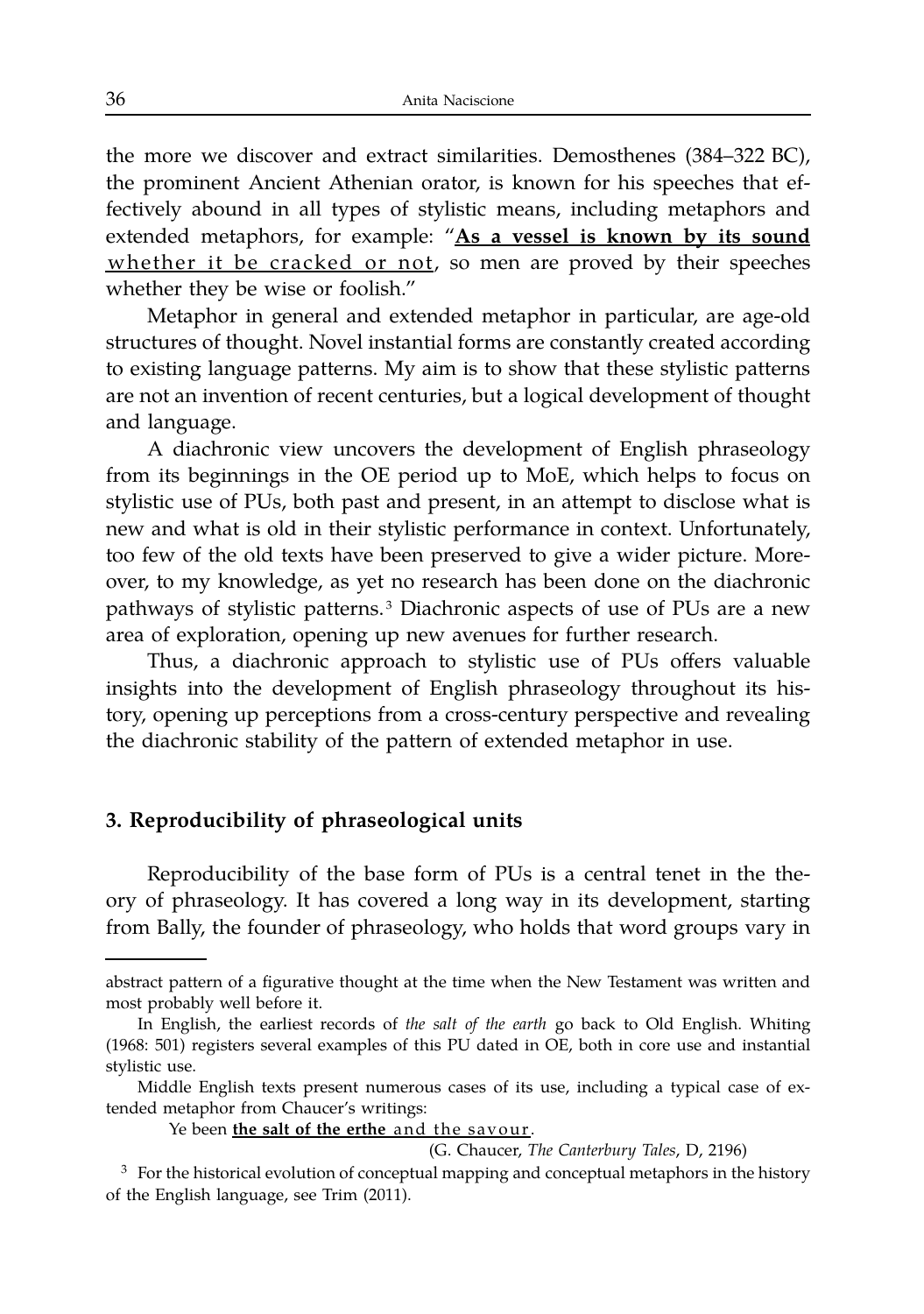the more we discover and extract similarities. Demosthenes (384–322 BC), the prominent Ancient Athenian orator, is known for his speeches that effectively abound in all types of stylistic means, including metaphors and extended metaphors, for example: "**As a vessel is known by its sound** whether it be cracked or not, so men are proved by their speeches whether they be wise or foolish."

Metaphor in general and extended metaphor in particular, are age-old structures of thought. Novel instantial forms are constantly created according to existing language patterns. My aim is to show that these stylistic patterns are not an invention of recent centuries, but a logical development of thought and language.

A diachronic view uncovers the development of English phraseology from its beginnings in the OE period up to MoE, which helps to focus on stylistic use of PUs, both past and present, in an attempt to disclose what is new and what is old in their stylistic performance in context. Unfortunately, too few of the old texts have been preserved to give a wider picture. Moreover, to my knowledge, as yet no research has been done on the diachronic pathways of stylistic patterns.<sup>3</sup> Diachronic aspects of use of PUs are a new area of exploration, opening up new avenues for further research.

Thus, a diachronic approach to stylistic use of PUs offers valuable insights into the development of English phraseology throughout its history, opening up perceptions from a cross-century perspective and revealing the diachronic stability of the pattern of extended metaphor in use.

#### **3. Reproducibility of phraseological units**

Reproducibility of the base form of PUs is a central tenet in the theory of phraseology. It has covered a long way in its development, starting from Bally, the founder of phraseology, who holds that word groups vary in

Ye been *the salt of the erthe and the savour*.

(G. Chaucer, *The Canterbury Tales*, D, 2196)

abstract pattern of a figurative thought at the time when the New Testament was written and most probably well before it.

In English, the earliest records of *the salt of the earth* go back to Old English. Whiting (1968: 501) registers several examples of this PU dated in OE, both in core use and instantial stylistic use.

Middle English texts present numerous cases of its use, including a typical case of extended metaphor from Chaucer's writings:

 $3<sup>3</sup>$  For the historical evolution of conceptual mapping and conceptual metaphors in the history of the English language, see Trim (2011).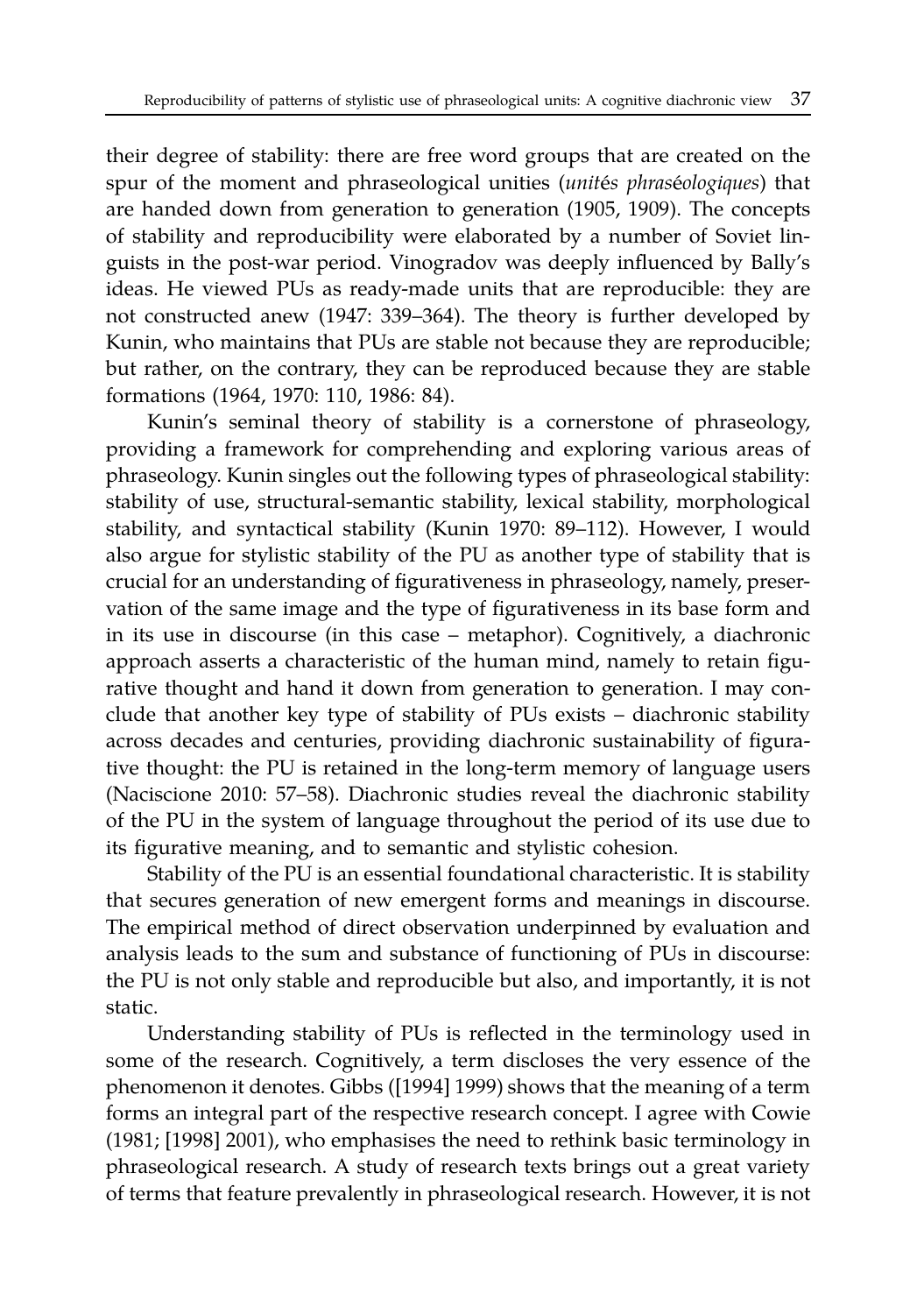their degree of stability: there are free word groups that are created on the spur of the moment and phraseological unities (*unités phraséologiques*) that are handed down from generation to generation (1905, 1909). The concepts of stability and reproducibility were elaborated by a number of Soviet linguists in the post-war period. Vinogradov was deeply influenced by Bally's ideas. He viewed PUs as ready-made units that are reproducible: they are not constructed anew (1947: 339–364). The theory is further developed by Kunin, who maintains that PUs are stable not because they are reproducible; but rather, on the contrary, they can be reproduced because they are stable formations (1964, 1970: 110, 1986: 84).

Kunin's seminal theory of stability is a cornerstone of phraseology, providing a framework for comprehending and exploring various areas of phraseology. Kunin singles out the following types of phraseological stability: stability of use, structural-semantic stability, lexical stability, morphological stability, and syntactical stability (Kunin 1970: 89–112). However, I would also argue for stylistic stability of the PU as another type of stability that is crucial for an understanding of figurativeness in phraseology, namely, preservation of the same image and the type of figurativeness in its base form and in its use in discourse (in this case – metaphor). Cognitively, a diachronic approach asserts a characteristic of the human mind, namely to retain figurative thought and hand it down from generation to generation. I may conclude that another key type of stability of PUs exists – diachronic stability across decades and centuries, providing diachronic sustainability of figurative thought: the PU is retained in the long-term memory of language users (Naciscione 2010: 57–58). Diachronic studies reveal the diachronic stability of the PU in the system of language throughout the period of its use due to its figurative meaning, and to semantic and stylistic cohesion.

Stability of the PU is an essential foundational characteristic. It is stability that secures generation of new emergent forms and meanings in discourse. The empirical method of direct observation underpinned by evaluation and analysis leads to the sum and substance of functioning of PUs in discourse: the PU is not only stable and reproducible but also, and importantly, it is not static.

Understanding stability of PUs is reflected in the terminology used in some of the research. Cognitively, a term discloses the very essence of the phenomenon it denotes. Gibbs ([1994] 1999) shows that the meaning of a term forms an integral part of the respective research concept. I agree with Cowie (1981; [1998] 2001), who emphasises the need to rethink basic terminology in phraseological research. A study of research texts brings out a great variety of terms that feature prevalently in phraseological research. However, it is not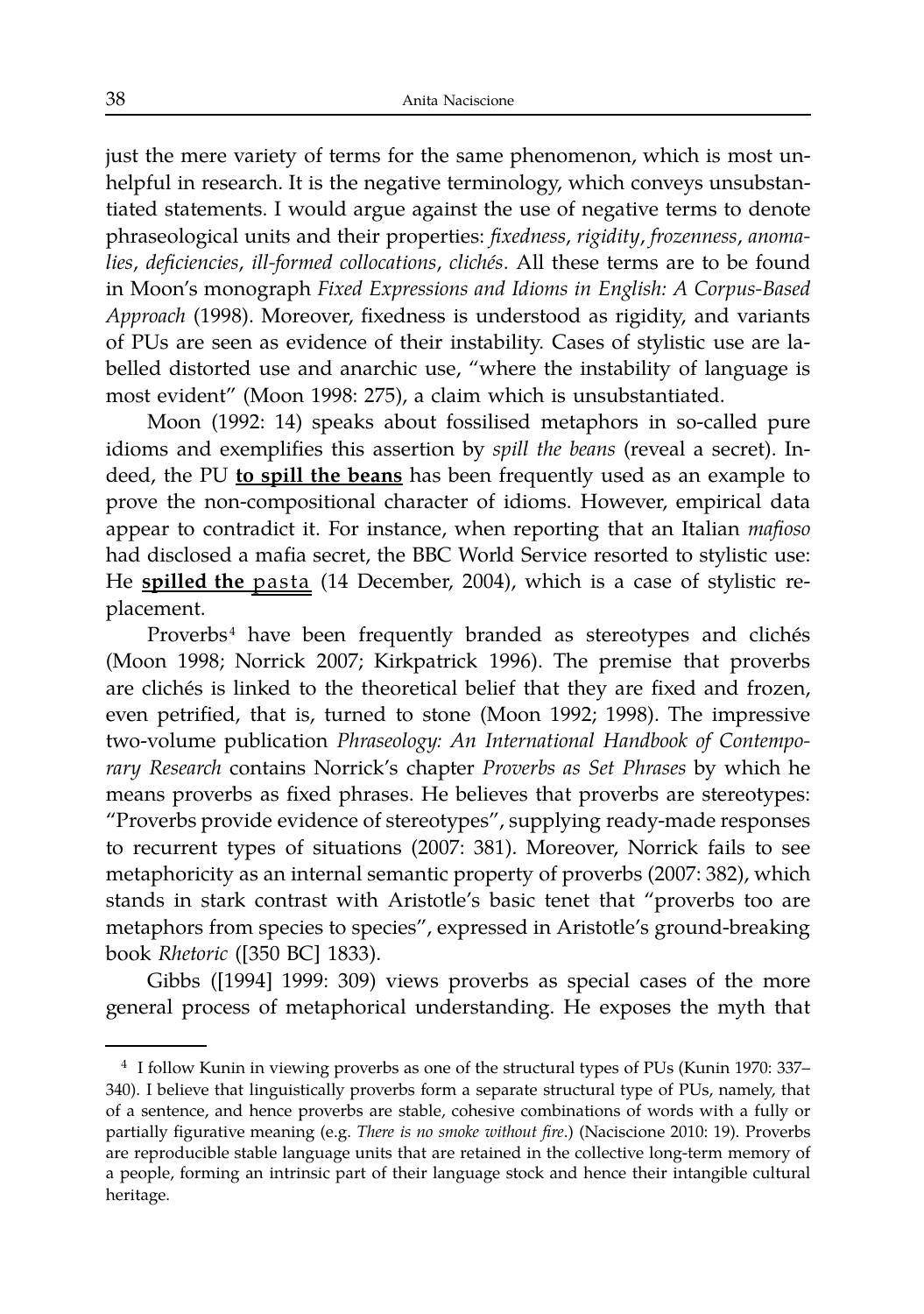just the mere variety of terms for the same phenomenon, which is most unhelpful in research. It is the negative terminology, which conveys unsubstantiated statements. I would argue against the use of negative terms to denote phraseological units and their properties: *fixedness*, *rigidity*, *frozenness*, *anoma*lies, deficiencies, ill-formed collocations, clichés. All these terms are to be found in Moon's monograph *Fixed Expressions and Idioms in English: A Corpus-Based Approach* (1998). Moreover, fixedness is understood as rigidity, and variants of PUs are seen as evidence of their instability. Cases of stylistic use are labelled distorted use and anarchic use, "where the instability of language is most evident" (Moon 1998: 275), a claim which is unsubstantiated.

Moon (1992: 14) speaks about fossilised metaphors in so-called pure idioms and exemplifies this assertion by *spill the beans* (reveal a secret). Indeed, the PU **to spill the beans** has been frequently used as an example to prove the non-compositional character of idioms. However, empirical data appear to contradict it. For instance, when reporting that an Italian *mafioso* had disclosed a mafia secret, the BBC World Service resorted to stylistic use: He **spilled the** pasta (14 December, 2004), which is a case of stylistic replacement.

Proverbs<sup>4</sup> have been frequently branded as stereotypes and clichés (Moon 1998; Norrick 2007; Kirkpatrick 1996). The premise that proverbs are clichés is linked to the theoretical belief that they are fixed and frozen, even petrified, that is, turned to stone (Moon 1992; 1998). The impressive two-volume publication *Phraseology: An International Handbook of Contemporary Research* contains Norrick's chapter *Proverbs as Set Phrases* by which he means proverbs as fixed phrases. He believes that proverbs are stereotypes: "Proverbs provide evidence of stereotypes", supplying ready-made responses to recurrent types of situations (2007: 381). Moreover, Norrick fails to see metaphoricity as an internal semantic property of proverbs (2007: 382), which stands in stark contrast with Aristotle's basic tenet that "proverbs too are metaphors from species to species", expressed in Aristotle's ground-breaking book *Rhetoric* ([350 BC] 1833).

Gibbs ([1994] 1999: 309) views proverbs as special cases of the more general process of metaphorical understanding. He exposes the myth that

<sup>4</sup> I follow Kunin in viewing proverbs as one of the structural types of PUs (Kunin 1970: 337– 340). I believe that linguistically proverbs form a separate structural type of PUs, namely, that of a sentence, and hence proverbs are stable, cohesive combinations of words with a fully or partially figurative meaning (e.g. *There is no smoke without fire*.) (Naciscione 2010: 19). Proverbs are reproducible stable language units that are retained in the collective long-term memory of a people, forming an intrinsic part of their language stock and hence their intangible cultural heritage.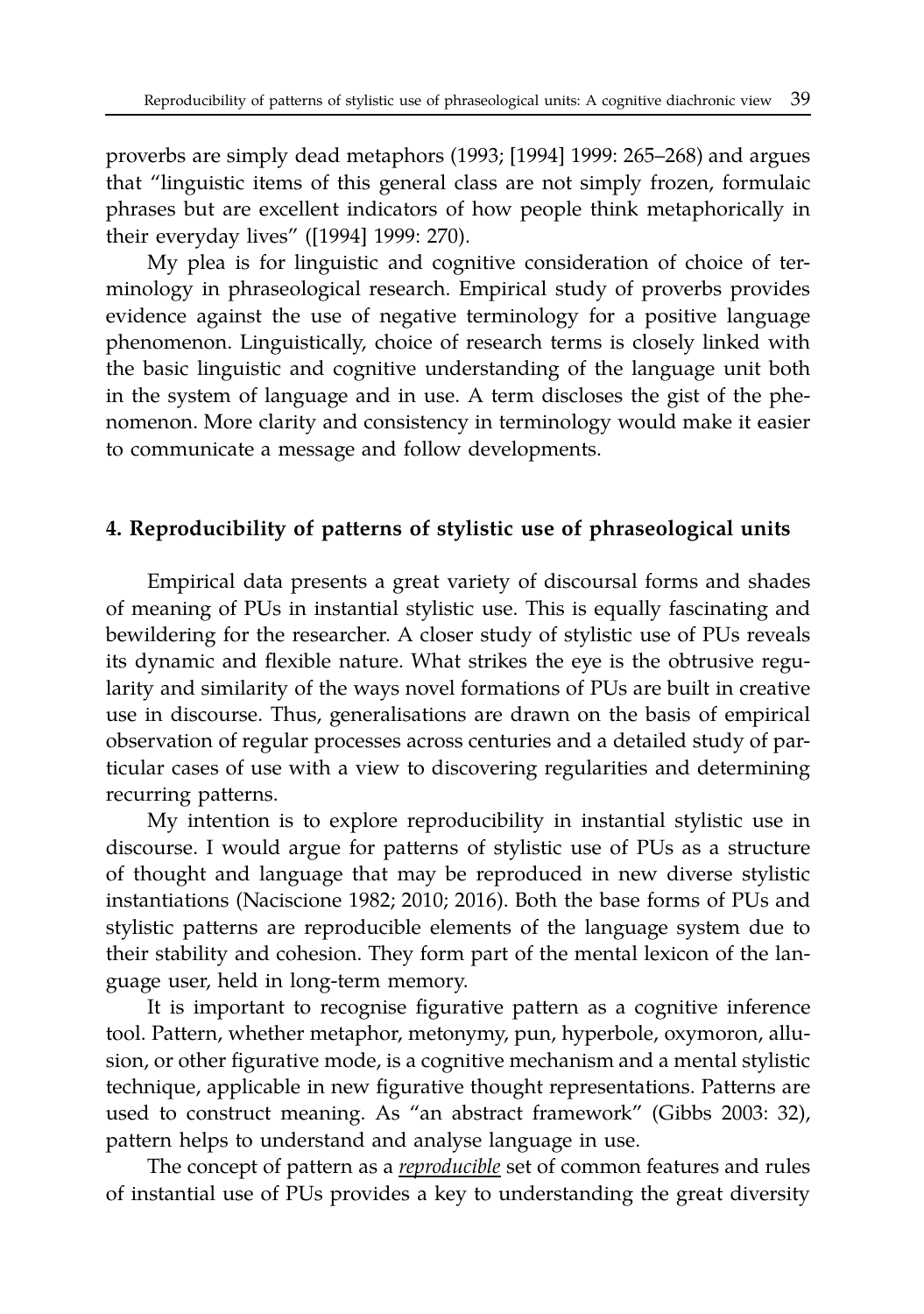proverbs are simply dead metaphors (1993; [1994] 1999: 265–268) and argues that "linguistic items of this general class are not simply frozen, formulaic phrases but are excellent indicators of how people think metaphorically in their everyday lives" ([1994] 1999: 270).

My plea is for linguistic and cognitive consideration of choice of terminology in phraseological research. Empirical study of proverbs provides evidence against the use of negative terminology for a positive language phenomenon. Linguistically, choice of research terms is closely linked with the basic linguistic and cognitive understanding of the language unit both in the system of language and in use. A term discloses the gist of the phenomenon. More clarity and consistency in terminology would make it easier to communicate a message and follow developments.

#### **4. Reproducibility of patterns of stylistic use of phraseological units**

Empirical data presents a great variety of discoursal forms and shades of meaning of PUs in instantial stylistic use. This is equally fascinating and bewildering for the researcher. A closer study of stylistic use of PUs reveals its dynamic and flexible nature. What strikes the eye is the obtrusive regularity and similarity of the ways novel formations of PUs are built in creative use in discourse. Thus, generalisations are drawn on the basis of empirical observation of regular processes across centuries and a detailed study of particular cases of use with a view to discovering regularities and determining recurring patterns.

My intention is to explore reproducibility in instantial stylistic use in discourse. I would argue for patterns of stylistic use of PUs as a structure of thought and language that may be reproduced in new diverse stylistic instantiations (Naciscione 1982; 2010; 2016). Both the base forms of PUs and stylistic patterns are reproducible elements of the language system due to their stability and cohesion. They form part of the mental lexicon of the language user, held in long-term memory.

It is important to recognise figurative pattern as a cognitive inference tool. Pattern, whether metaphor, metonymy, pun, hyperbole, oxymoron, allusion, or other figurative mode, is a cognitive mechanism and a mental stylistic technique, applicable in new figurative thought representations. Patterns are used to construct meaning. As "an abstract framework" (Gibbs 2003: 32), pattern helps to understand and analyse language in use.

The concept of pattern as a *reproducible* set of common features and rules of instantial use of PUs provides a key to understanding the great diversity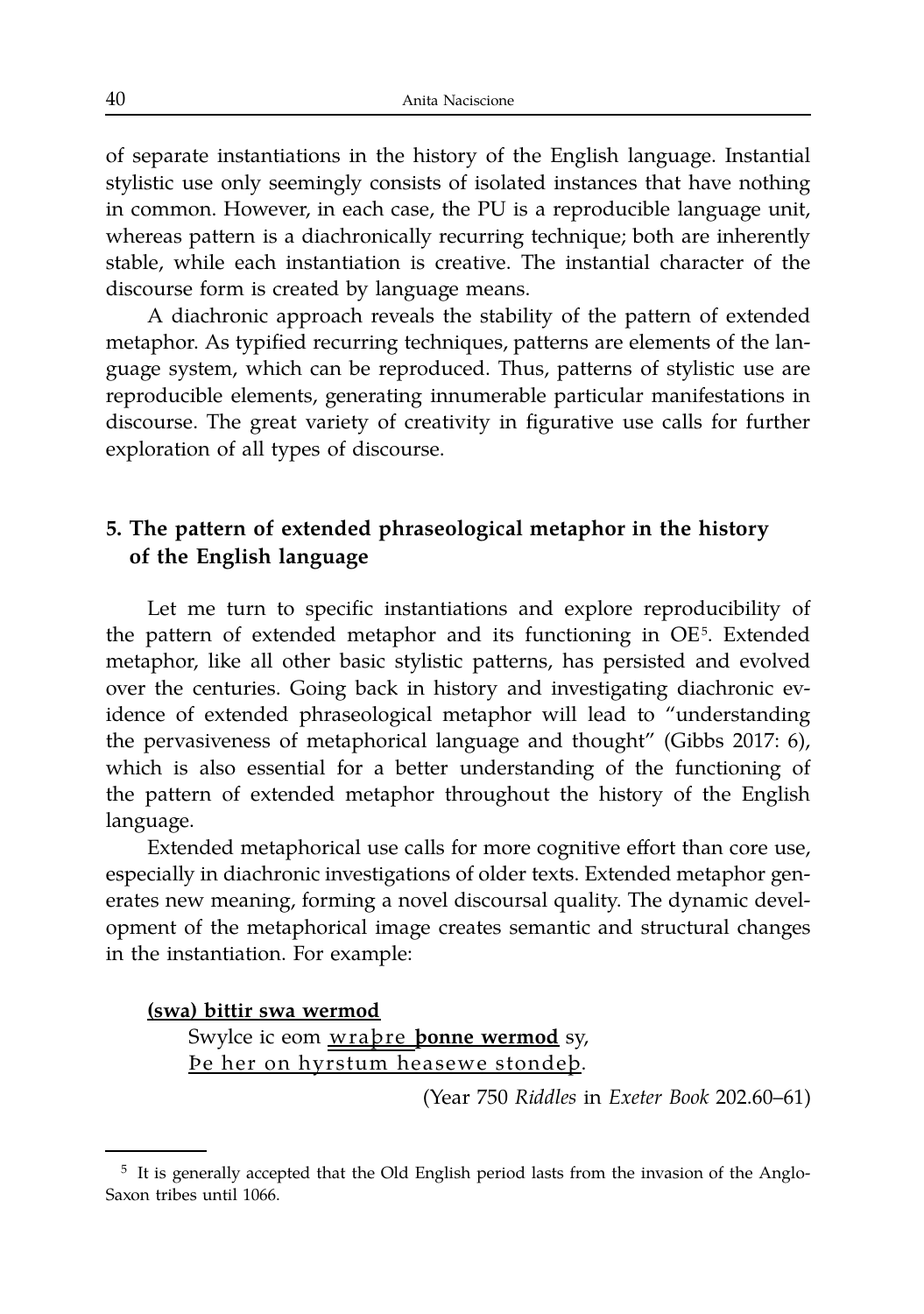of separate instantiations in the history of the English language. Instantial stylistic use only seemingly consists of isolated instances that have nothing in common. However, in each case, the PU is a reproducible language unit, whereas pattern is a diachronically recurring technique; both are inherently stable, while each instantiation is creative. The instantial character of the discourse form is created by language means.

A diachronic approach reveals the stability of the pattern of extended metaphor. As typified recurring techniques, patterns are elements of the language system, which can be reproduced. Thus, patterns of stylistic use are reproducible elements, generating innumerable particular manifestations in discourse. The great variety of creativity in figurative use calls for further exploration of all types of discourse.

# 5. The pattern of extended phraseological metaphor in the history of the English language

Let me turn to specific instantiations and explore reproducibility of the pattern of extended metaphor and its functioning in OE<sup>5</sup>. Extended metaphor, like all other basic stylistic patterns, has persisted and evolved over the centuries. Going back in history and investigating diachronic evidence of extended phraseological metaphor will lead to "understanding the pervasiveness of metaphorical language and thought" (Gibbs 2017: 6), which is also essential for a better understanding of the functioning of the pattern of extended metaphor throughout the history of the English language.

Extended metaphorical use calls for more cognitive effort than core use, especially in diachronic investigations of older texts. Extended metaphor generates new meaning, forming a novel discoursal quality. The dynamic development of the metaphorical image creates semantic and structural changes in the instantiation. For example:

#### (swa) bittir swa wermod

Swylce ic eom wrapre ponne wermod sy, De her on hyrstum heasewe stondeb.

(Year 750 Riddles in Exeter Book 202.60–61)

 $5$  It is generally accepted that the Old English period lasts from the invasion of the Anglo-Saxon tribes until 1066.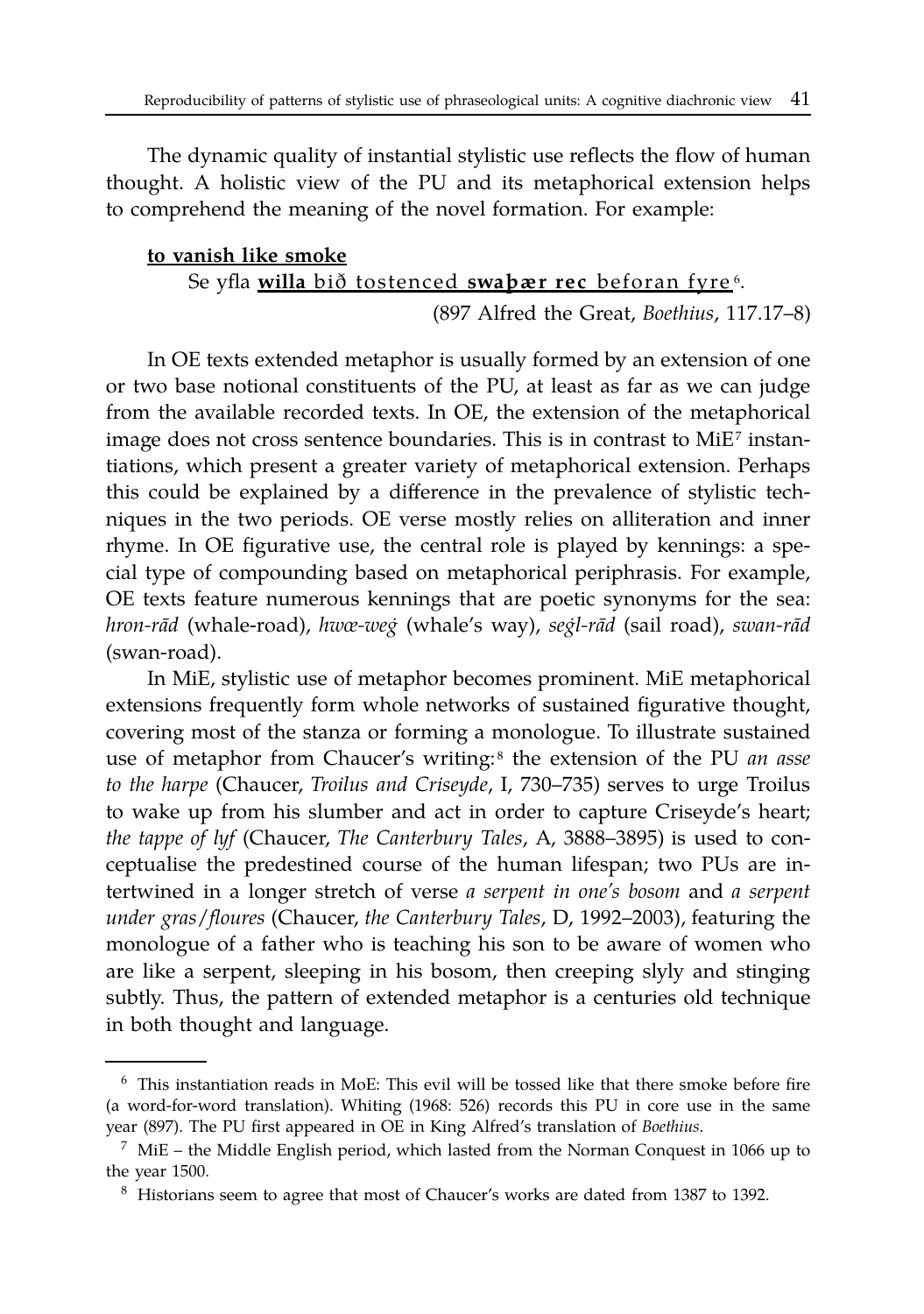The dynamic quality of instantial stylistic use reflects the flow of human thought. A holistic view of the PU and its metaphorical extension helps to comprehend the meaning of the novel formation. For example:

## **to vanish like smoke** Se yfla <u>willa bið tostenced **swaþær rec** beforan fyre</u>6.

(897 Alfred the Great, *Boethius*, 117.17–8)

In OE texts extended metaphor is usually formed by an extension of one or two base notional constituents of the PU, at least as far as we can judge from the available recorded texts. In OE, the extension of the metaphorical image does not cross sentence boundaries. This is in contrast to  $MiE^{\tau}$  instantiations, which present a greater variety of metaphorical extension. Perhaps this could be explained by a difference in the prevalence of stylistic techniques in the two periods. OE verse mostly relies on alliteration and inner rhyme. In OE figurative use, the central role is played by kennings: a special type of compounding based on metaphorical periphrasis. For example, OE texts feature numerous kennings that are poetic synonyms for the sea: *hron-rad¯* (whale-road), *hwœ-weg˙* (whale's way), *segl-r ˙ ad¯* (sail road), *swan-rad¯* (swan-road).

In MiE, stylistic use of metaphor becomes prominent. MiE metaphorical extensions frequently form whole networks of sustained figurative thought, covering most of the stanza or forming a monologue. To illustrate sustained use of metaphor from Chaucer's writing:<sup>8</sup> the extension of the PU *an asse to the harpe* (Chaucer, *Troilus and Criseyde*, I, 730–735) serves to urge Troilus to wake up from his slumber and act in order to capture Criseyde's heart; *the tappe of lyf* (Chaucer, *The Canterbury Tales*, A, 3888–3895) is used to conceptualise the predestined course of the human lifespan; two PUs are intertwined in a longer stretch of verse *a serpent in one's bosom* and *a serpent under gras*/*floures* (Chaucer, *the Canterbury Tales*, D, 1992–2003), featuring the monologue of a father who is teaching his son to be aware of women who are like a serpent, sleeping in his bosom, then creeping slyly and stinging subtly. Thus, the pattern of extended metaphor is a centuries old technique in both thought and language.

<sup>6</sup> This instantiation reads in MoE: This evil will be tossed like that there smoke before fire (a word-for-word translation). Whiting (1968: 526) records this PU in core use in the same year (897). The PU first appeared in OE in King Alfred's translation of *Boethius*.

 $7$  MiE – the Middle English period, which lasted from the Norman Conquest in 1066 up to the year 1500.

<sup>8</sup> Historians seem to agree that most of Chaucer's works are dated from 1387 to 1392.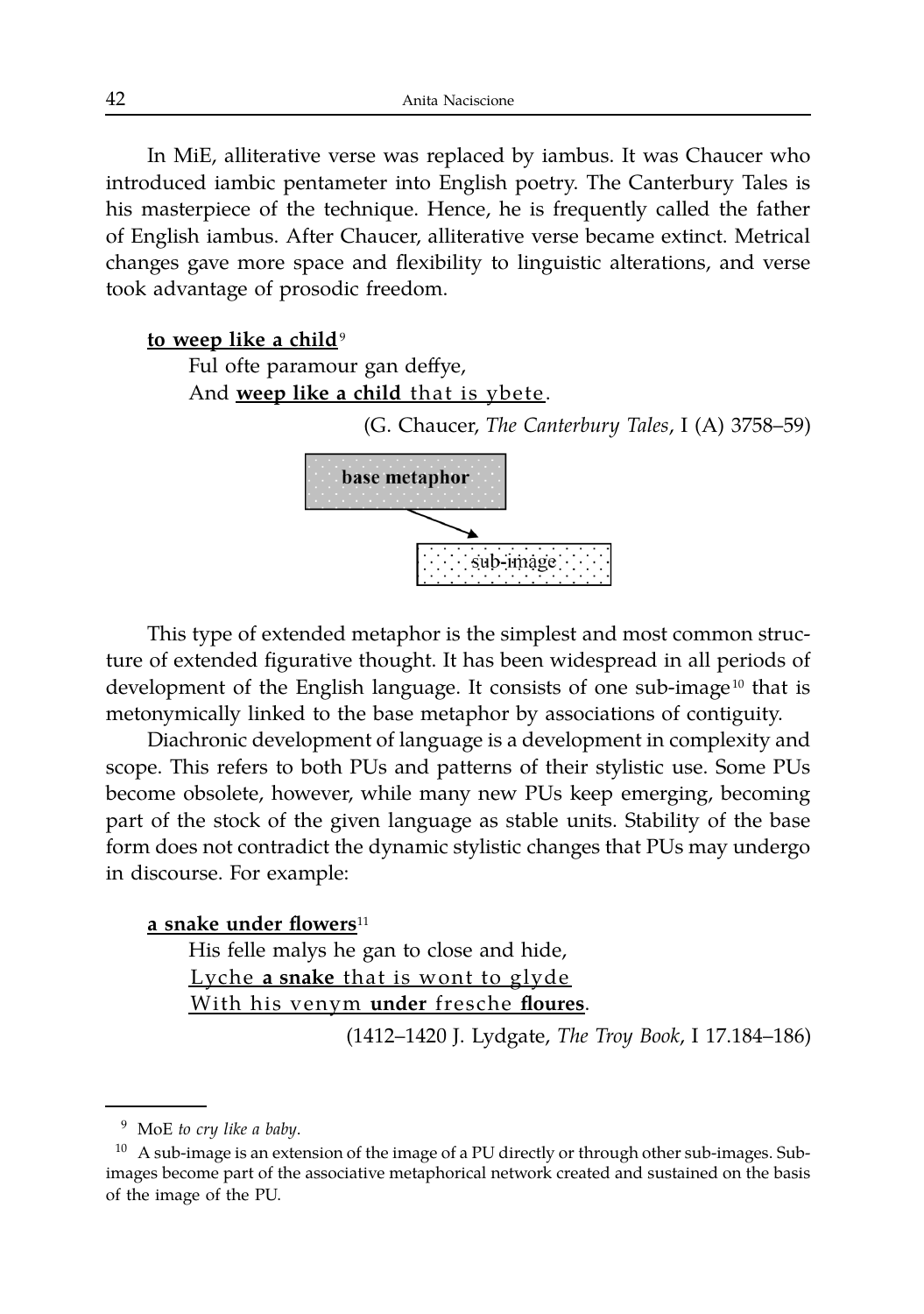In MiE, alliterative verse was replaced by iambus. It was Chaucer who introduced iambic pentameter into English poetry. The Canterbury Tales is his masterpiece of the technique. Hence, he is frequently called the father of English iambus. After Chaucer, alliterative verse became extinct. Metrical changes gave more space and flexibility to linguistic alterations, and verse took advantage of prosodic freedom.

#### **to weep like a child**<sup>9</sup>

Ful ofte paramour gan deffye, And **weep like a child** that is ybete.

(G. Chaucer, *The Canterbury Tales*, I (A) 3758–59)



This type of extended metaphor is the simplest and most common structure of extended figurative thought. It has been widespread in all periods of development of the English language. It consists of one sub-image<sup>10</sup> that is metonymically linked to the base metaphor by associations of contiguity.

Diachronic development of language is a development in complexity and scope. This refers to both PUs and patterns of their stylistic use. Some PUs become obsolete, however, while many new PUs keep emerging, becoming part of the stock of the given language as stable units. Stability of the base form does not contradict the dynamic stylistic changes that PUs may undergo in discourse. For example:

#### **a snake under flowers**<sup>11</sup>

His felle malys he gan to close and hide, Lyche a snake that is wont to glyde With his venym under fresche floures.

(1412–1420 J. Lydgate, *The Troy Book*, I 17.184–186)

<sup>9</sup> MoE *to cry like a baby*.

 $10$  A sub-image is an extension of the image of a PU directly or through other sub-images. Subimages become part of the associative metaphorical network created and sustained on the basis of the image of the PU.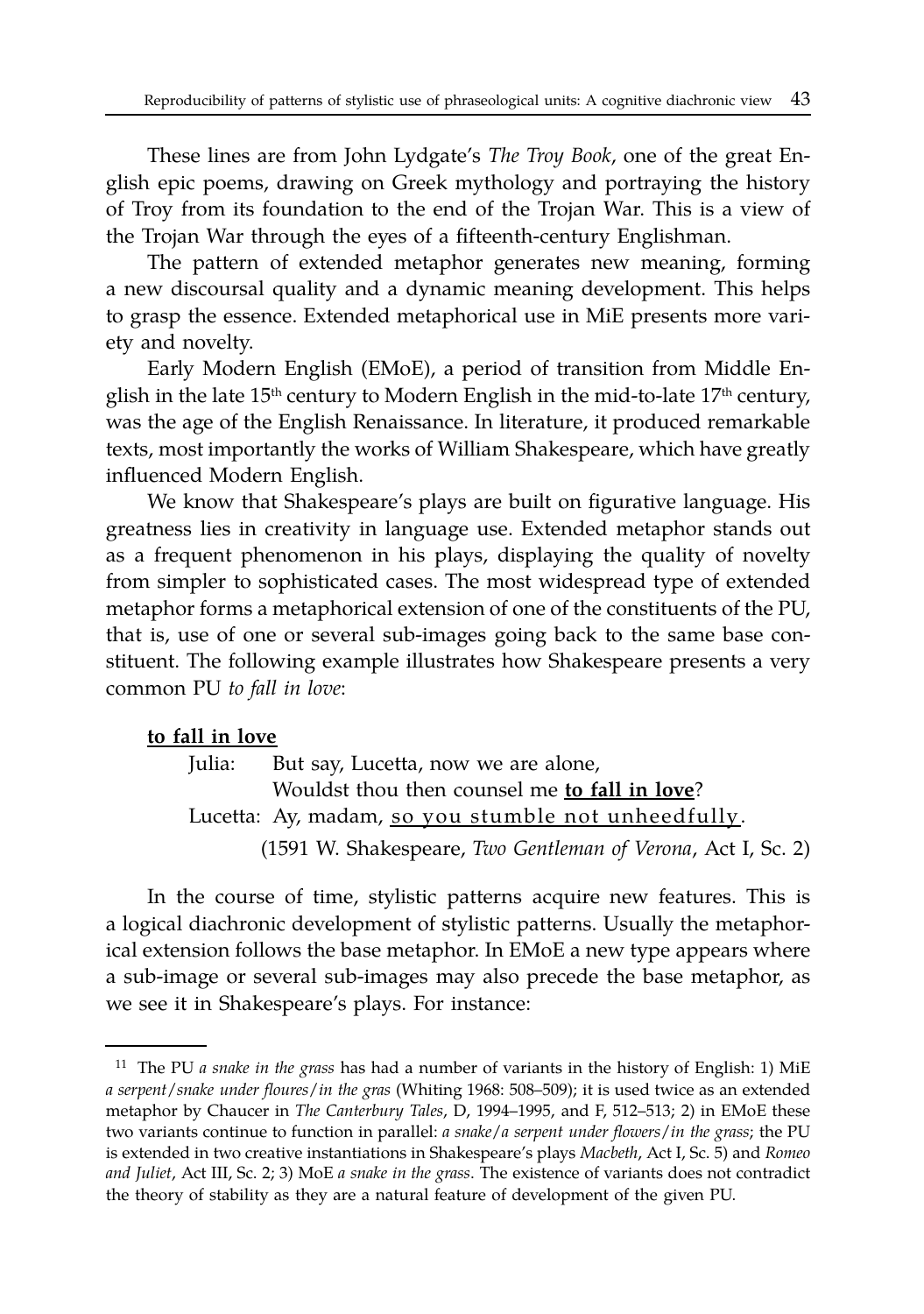These lines are from John Lydgate's *The Troy Book*, one of the great English epic poems, drawing on Greek mythology and portraying the history of Troy from its foundation to the end of the Trojan War. This is a view of the Trojan War through the eyes of a fifteenth-century Englishman.

The pattern of extended metaphor generates new meaning, forming a new discoursal quality and a dynamic meaning development. This helps to grasp the essence. Extended metaphorical use in MiE presents more variety and novelty.

Early Modern English (EMoE), a period of transition from Middle English in the late  $15<sup>th</sup>$  century to Modern English in the mid-to-late  $17<sup>th</sup>$  century, was the age of the English Renaissance. In literature, it produced remarkable texts, most importantly the works of William Shakespeare, which have greatly influenced Modern English.

We know that Shakespeare's plays are built on figurative language. His greatness lies in creativity in language use. Extended metaphor stands out as a frequent phenomenon in his plays, displaying the quality of novelty from simpler to sophisticated cases. The most widespread type of extended metaphor forms a metaphorical extension of one of the constituents of the PU, that is, use of one or several sub-images going back to the same base constituent. The following example illustrates how Shakespeare presents a very common PU *to fall in love*:

#### **to fall in love**

Julia: But say, Lucetta, now we are alone, Wouldst thou then counsel me **to fall in love**? Lucetta: Ay, madam, so you stumble not unheedfully. (1591 W. Shakespeare, *Two Gentleman of Verona*, Act I, Sc. 2)

In the course of time, stylistic patterns acquire new features. This is a logical diachronic development of stylistic patterns. Usually the metaphorical extension follows the base metaphor. In EMoE a new type appears where a sub-image or several sub-images may also precede the base metaphor, as we see it in Shakespeare's plays. For instance:

<sup>11</sup> The PU *a snake in the grass* has had a number of variants in the history of English: 1) MiE *a serpent*/*snake under floures*/*in the gras* (Whiting 1968: 508–509); it is used twice as an extended metaphor by Chaucer in *The Canterbury Tales*, D, 1994–1995, and F, 512–513; 2) in EMoE these two variants continue to function in parallel: *a snake*/*a serpent under flowers*/*in the grass*; the PU is extended in two creative instantiations in Shakespeare's plays *Macbeth*, Act I, Sc. 5) and *Romeo and Juliet*, Act III, Sc. 2; 3) MoE *a snake in the grass*. The existence of variants does not contradict the theory of stability as they are a natural feature of development of the given PU.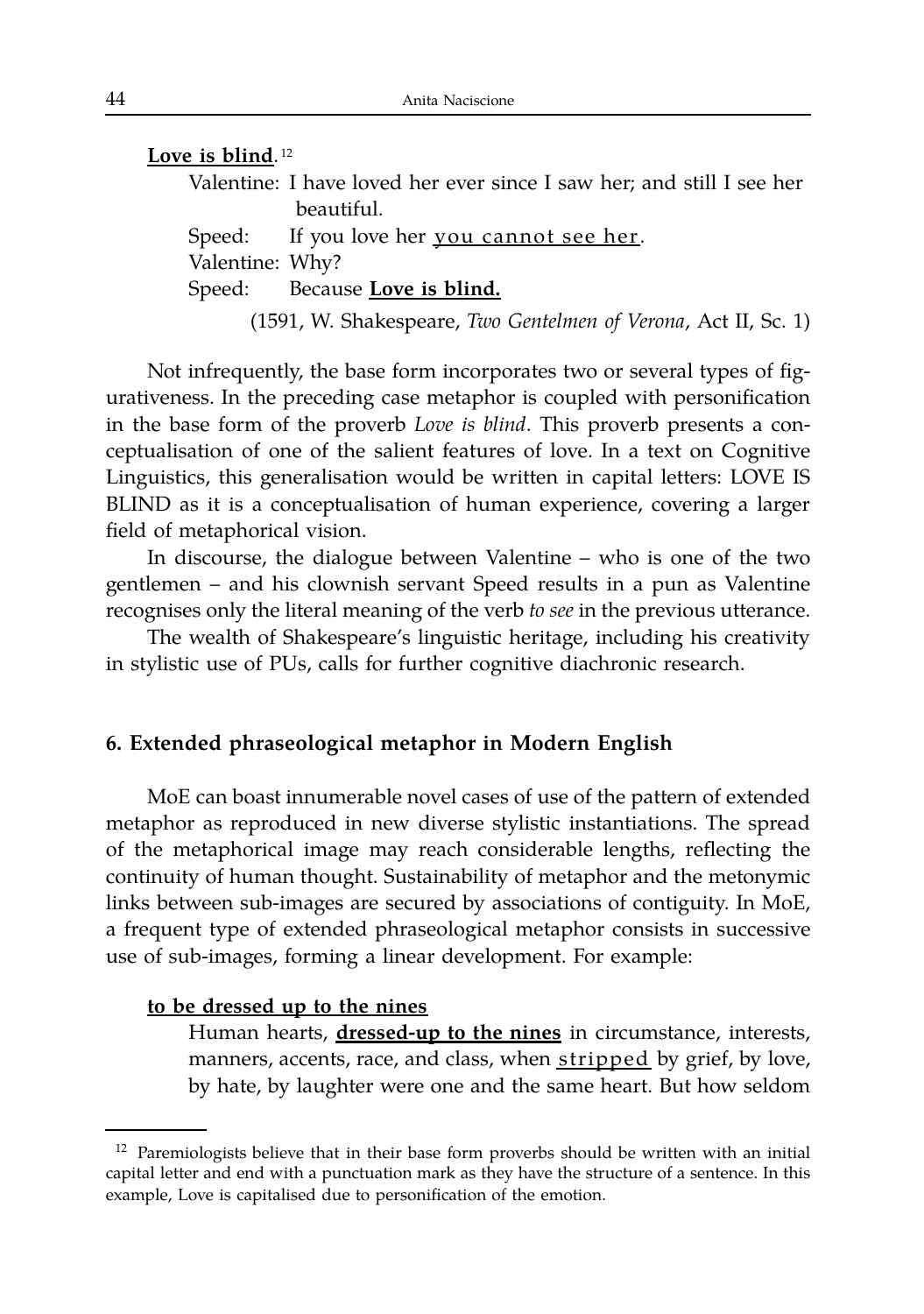| Love is blind. <sup>12</sup> |                                                                       |
|------------------------------|-----------------------------------------------------------------------|
|                              | Valentine: I have loved her ever since I saw her; and still I see her |
|                              | beautiful.                                                            |
|                              | Speed: If you love her you cannot see her.                            |
| Valentine: Why?              |                                                                       |
|                              | Speed: Because Love is blind.                                         |
|                              | (1591, W. Shakespeare, Two Gentelmen of Verona, Act II, Sc. 1)        |

Not infrequently, the base form incorporates two or several types of figurativeness. In the preceding case metaphor is coupled with personification in the base form of the proverb *Love is blind*. This proverb presents a conceptualisation of one of the salient features of love. In a text on Cognitive Linguistics, this generalisation would be written in capital letters: LOVE IS BLIND as it is a conceptualisation of human experience, covering a larger field of metaphorical vision.

In discourse, the dialogue between Valentine – who is one of the two gentlemen – and his clownish servant Speed results in a pun as Valentine recognises only the literal meaning of the verb *to see* in the previous utterance.

The wealth of Shakespeare's linguistic heritage, including his creativity in stylistic use of PUs, calls for further cognitive diachronic research.

#### **6. Extended phraseological metaphor in Modern English**

MoE can boast innumerable novel cases of use of the pattern of extended metaphor as reproduced in new diverse stylistic instantiations. The spread of the metaphorical image may reach considerable lengths, reflecting the continuity of human thought. Sustainability of metaphor and the metonymic links between sub-images are secured by associations of contiguity. In MoE, a frequent type of extended phraseological metaphor consists in successive use of sub-images, forming a linear development. For example:

#### **to be dressed up to the nines**

Human hearts, **dressed-up to the nines** in circumstance, interests, manners, accents, race, and class, when stripped by grief, by love, by hate, by laughter were one and the same heart. But how seldom

 $12$  Paremiologists believe that in their base form proverbs should be written with an initial capital letter and end with a punctuation mark as they have the structure of a sentence. In this example, Love is capitalised due to personification of the emotion.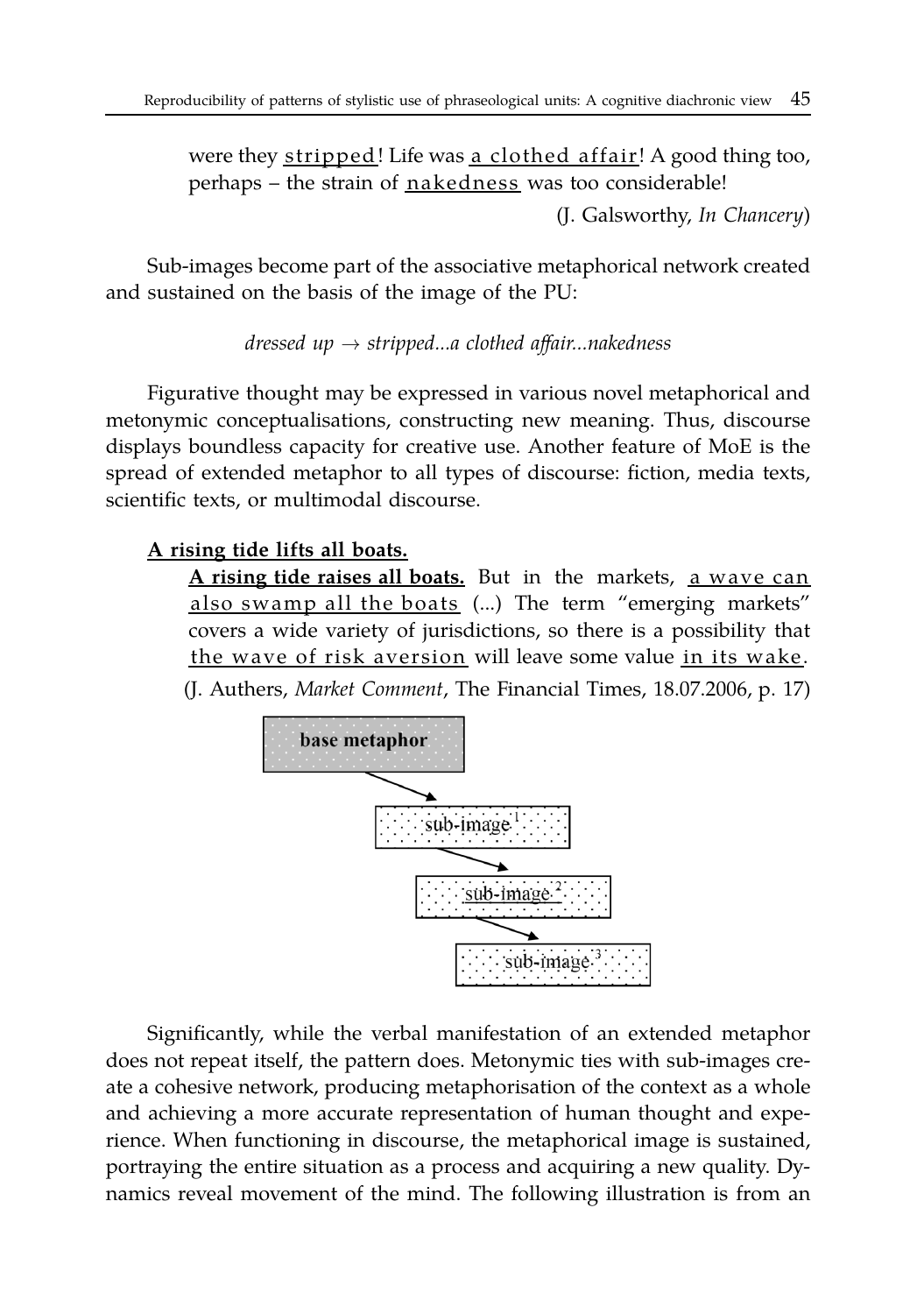were they stripped! Life was a clothed affair! A good thing too, perhaps – the strain of nakedness was too considerable!

(J. Galsworthy, *In Chancery*)

Sub-images become part of the associative metaphorical network created and sustained on the basis of the image of the PU:

*dressed up* → *stripped...a clothed affair...nakedness*

Figurative thought may be expressed in various novel metaphorical and metonymic conceptualisations, constructing new meaning. Thus, discourse displays boundless capacity for creative use. Another feature of MoE is the spread of extended metaphor to all types of discourse: fiction, media texts, scientific texts, or multimodal discourse.

# **A rising tide lifts all boats.**

**A rising tide raises all boats.** But in the markets, a wave can also swamp all the boats (...) The term "emerging markets" covers a wide variety of jurisdictions, so there is a possibility that the wave of risk aversion will leave some value in its wake. (J. Authers, *Market Comment*, The Financial Times, 18.07.2006, p. 17)



Significantly, while the verbal manifestation of an extended metaphor does not repeat itself, the pattern does. Metonymic ties with sub-images create a cohesive network, producing metaphorisation of the context as a whole and achieving a more accurate representation of human thought and experience. When functioning in discourse, the metaphorical image is sustained, portraying the entire situation as a process and acquiring a new quality. Dynamics reveal movement of the mind. The following illustration is from an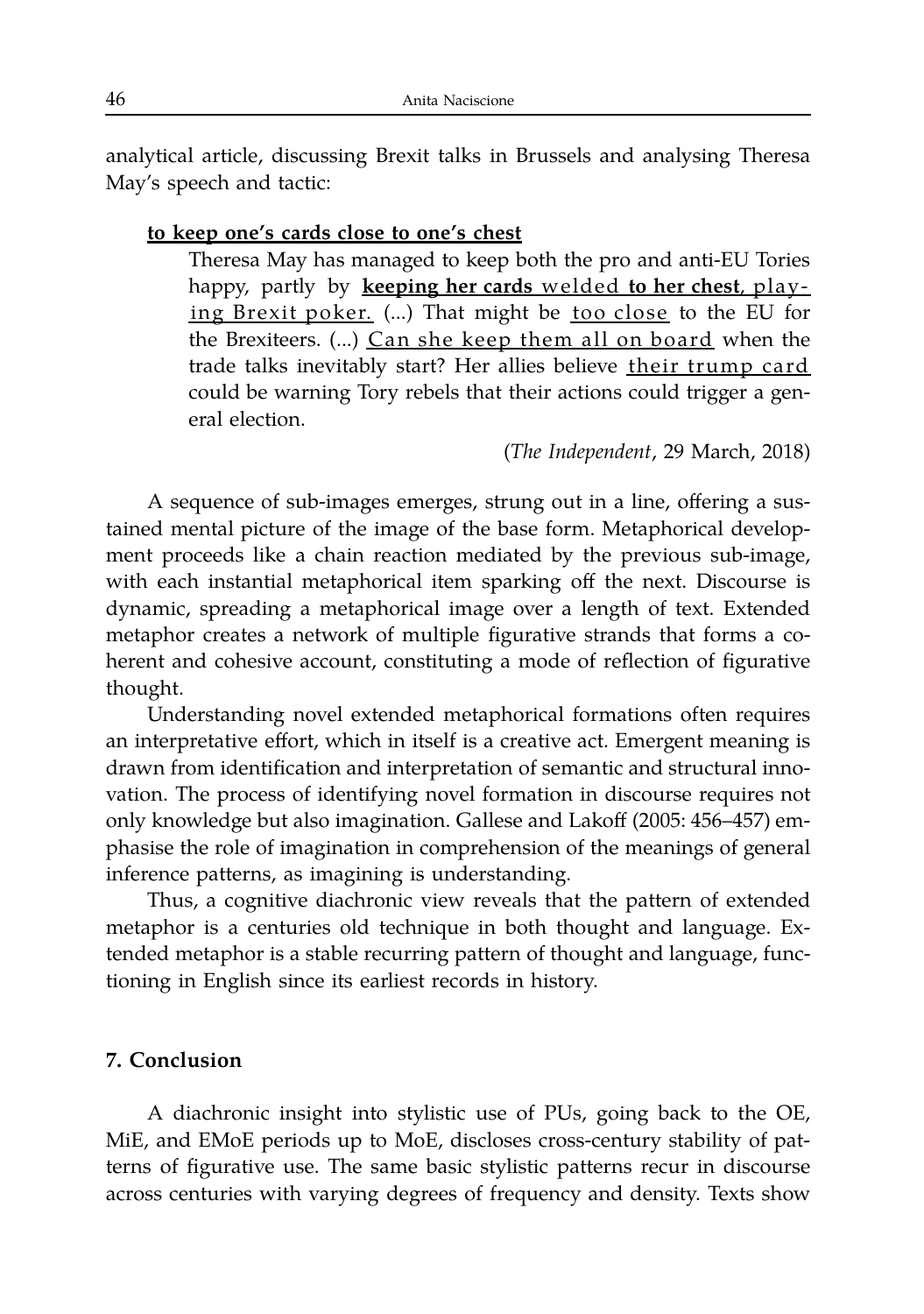analytical article, discussing Brexit talks in Brussels and analysing Theresa May's speech and tactic:

#### **to keep one's cards close to one's chest**

Theresa May has managed to keep both the pro and anti-EU Tories happy, partly by **keeping her cards** welded **to her chest**, play ing Brexit poker. (...) That might be too close to the EU for the Brexiteers. (...) Can she keep them all on board when the trade talks inevitably start? Her allies believe their trump card could be warning Tory rebels that their actions could trigger a general election.

(*The Independent*, 29 March, 2018)

A sequence of sub-images emerges, strung out in a line, offering a sustained mental picture of the image of the base form. Metaphorical development proceeds like a chain reaction mediated by the previous sub-image, with each instantial metaphorical item sparking off the next. Discourse is dynamic, spreading a metaphorical image over a length of text. Extended metaphor creates a network of multiple figurative strands that forms a coherent and cohesive account, constituting a mode of reflection of figurative thought.

Understanding novel extended metaphorical formations often requires an interpretative effort, which in itself is a creative act. Emergent meaning is drawn from identification and interpretation of semantic and structural innovation. The process of identifying novel formation in discourse requires not only knowledge but also imagination. Gallese and Lakoff (2005: 456–457) emphasise the role of imagination in comprehension of the meanings of general inference patterns, as imagining is understanding.

Thus, a cognitive diachronic view reveals that the pattern of extended metaphor is a centuries old technique in both thought and language. Extended metaphor is a stable recurring pattern of thought and language, functioning in English since its earliest records in history.

#### **7. Conclusion**

A diachronic insight into stylistic use of PUs, going back to the OE, MiE, and EMoE periods up to MoE, discloses cross-century stability of patterns of figurative use. The same basic stylistic patterns recur in discourse across centuries with varying degrees of frequency and density. Texts show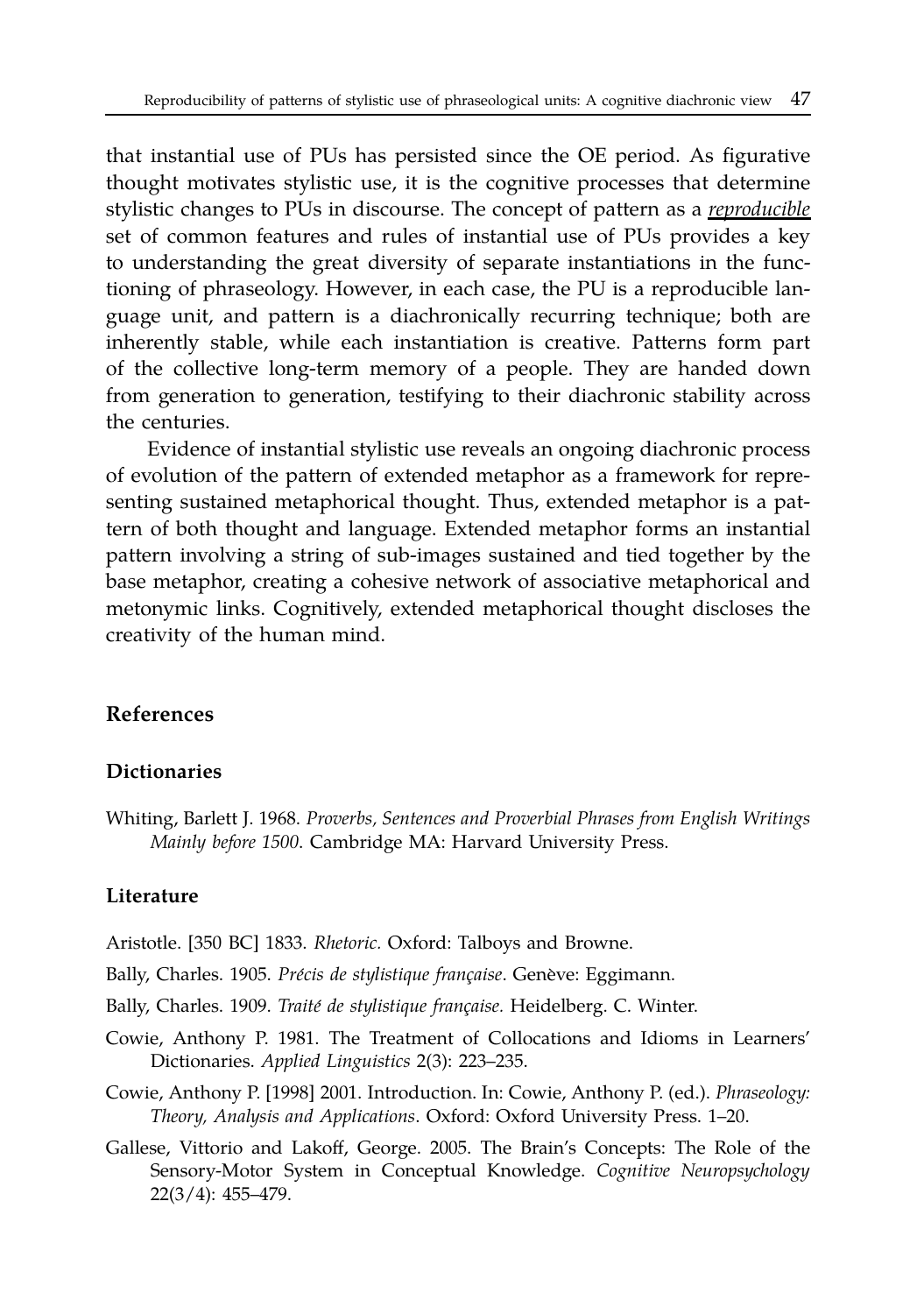that instantial use of PUs has persisted since the OE period. As figurative thought motivates stylistic use, it is the cognitive processes that determine stylistic changes to PUs in discourse. The concept of pattern as a *reproducible* set of common features and rules of instantial use of PUs provides a key to understanding the great diversity of separate instantiations in the functioning of phraseology. However, in each case, the PU is a reproducible language unit, and pattern is a diachronically recurring technique; both are inherently stable, while each instantiation is creative. Patterns form part of the collective long-term memory of a people. They are handed down from generation to generation, testifying to their diachronic stability across the centuries.

Evidence of instantial stylistic use reveals an ongoing diachronic process of evolution of the pattern of extended metaphor as a framework for representing sustained metaphorical thought. Thus, extended metaphor is a pattern of both thought and language. Extended metaphor forms an instantial pattern involving a string of sub-images sustained and tied together by the base metaphor, creating a cohesive network of associative metaphorical and metonymic links. Cognitively, extended metaphorical thought discloses the creativity of the human mind.

#### **References**

#### **Dictionaries**

Whiting, Barlett J. 1968. *Proverbs, Sentences and Proverbial Phrases from English Writings Mainly before 1500*. Cambridge MA: Harvard University Press.

#### **Literature**

- Aristotle. [350 BC] 1833. *Rhetoric.* Oxford: Talboys and Browne.
- Bally, Charles. 1905. Précis de stylistique française. Genève: Eggimann.
- Bally, Charles. 1909. *Traité de stylistique française*. Heidelberg. C. Winter.
- Cowie, Anthony P. 1981. The Treatment of Collocations and Idioms in Learners' Dictionaries. *Applied Linguistics* 2(3): 223–235.
- Cowie, Anthony P. [1998] 2001. Introduction. In: Cowie, Anthony P. (ed.). *Phraseology: Theory, Analysis and Applications*. Oxford: Oxford University Press. 1–20.
- Gallese, Vittorio and Lakoff, George. 2005. The Brain's Concepts: The Role of the Sensory-Motor System in Conceptual Knowledge. *Cognitive Neuropsychology* 22(3/4): 455–479.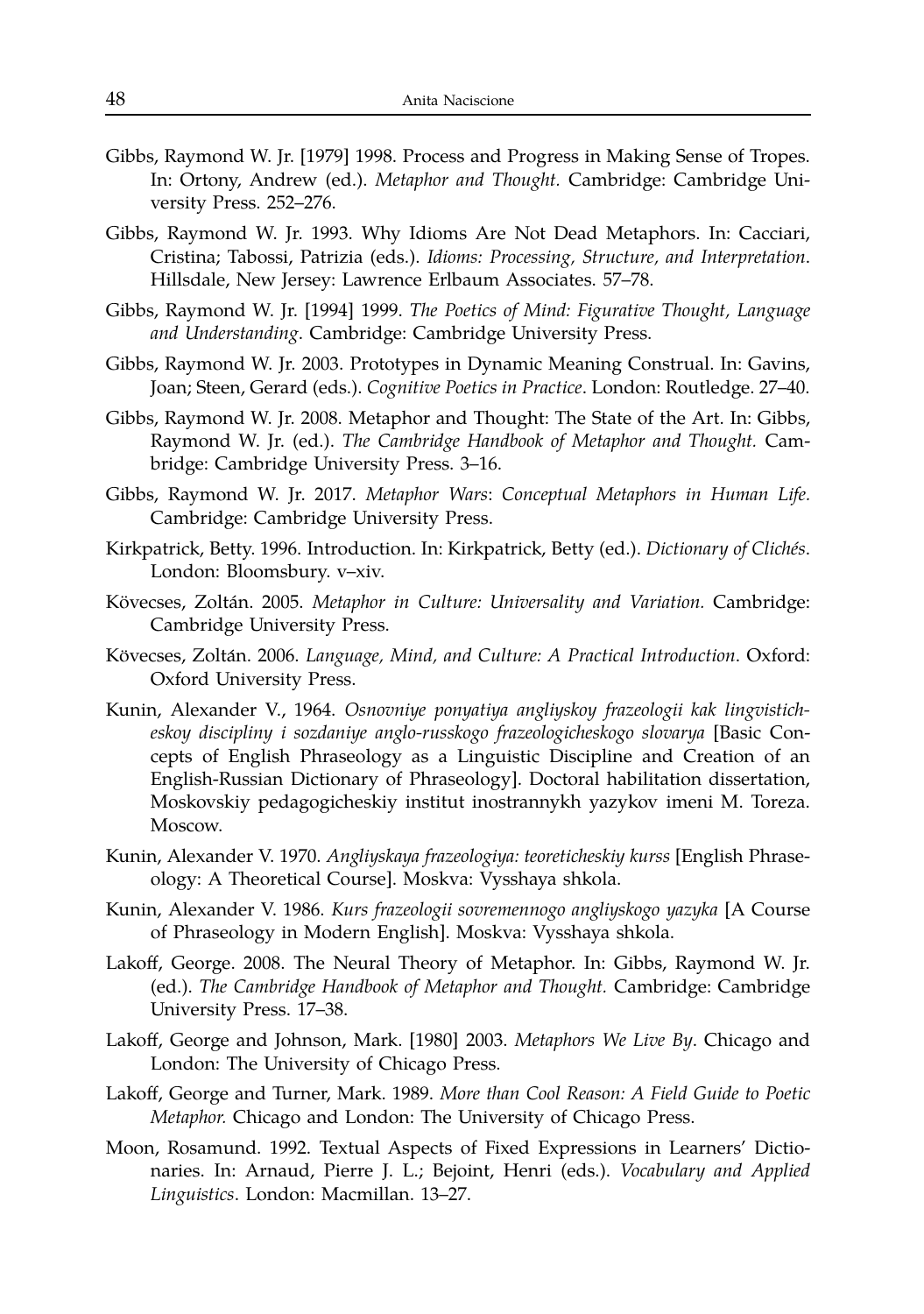- Gibbs, Raymond W. Jr. [1979] 1998. Process and Progress in Making Sense of Tropes. In: Ortony, Andrew (ed.). *Metaphor and Thought.* Cambridge: Cambridge University Press. 252–276.
- Gibbs, Raymond W. Jr. 1993. Why Idioms Are Not Dead Metaphors. In: Cacciari, Cristina; Tabossi, Patrizia (eds.). *Idioms: Processing, Structure, and Interpretation*. Hillsdale, New Jersey: Lawrence Erlbaum Associates. 57–78.
- Gibbs, Raymond W. Jr. [1994] 1999. *The Poetics of Mind: Figurative Thought, Language and Understanding*. Cambridge: Cambridge University Press.
- Gibbs, Raymond W. Jr. 2003. Prototypes in Dynamic Meaning Construal. In: Gavins, Joan; Steen, Gerard (eds.). *Cognitive Poetics in Practice*. London: Routledge. 27–40.
- Gibbs, Raymond W. Jr. 2008. Metaphor and Thought: The State of the Art. In: Gibbs, Raymond W. Jr. (ed.). *The Cambridge Handbook of Metaphor and Thought.* Cambridge: Cambridge University Press. 3–16.
- Gibbs, Raymond W. Jr. 2017. *Metaphor Wars*: *Conceptual Metaphors in Human Life.* Cambridge: Cambridge University Press.
- Kirkpatrick, Betty. 1996. Introduction. In: Kirkpatrick, Betty (ed.). *Dictionary of Cliches´* . London: Bloomsbury. v–xiv.
- Kövecses, Zoltán. 2005. Metaphor in Culture: Universality and Variation. Cambridge: Cambridge University Press.
- Kövecses, Zoltán. 2006. Language, Mind, and Culture: A Practical Introduction. Oxford: Oxford University Press.
- Kunin, Alexander V., 1964. *Osnovniye ponyatiya angliyskoy frazeologii kak lingvisticheskoy discipliny i sozdaniye anglo-russkogo frazeologicheskogo slovarya* [Basic Concepts of English Phraseology as a Linguistic Discipline and Creation of an English-Russian Dictionary of Phraseology]. Doctoral habilitation dissertation, Moskovskiy pedagogicheskiy institut inostrannykh yazykov imeni M. Toreza. Moscow.
- Kunin, Alexander V. 1970. *Angliyskaya frazeologiya: teoreticheskiy kurss* [English Phraseology: A Theoretical Course]. Moskva: Vysshaya shkola.
- Kunin, Alexander V. 1986. *Kurs frazeologii sovremennogo angliyskogo yazyka* [A Course of Phraseology in Modern English]. Moskva: Vysshaya shkola.
- Lakoff, George. 2008. The Neural Theory of Metaphor. In: Gibbs, Raymond W. Jr. (ed.). *The Cambridge Handbook of Metaphor and Thought.* Cambridge: Cambridge University Press. 17–38.
- Lakoff, George and Johnson, Mark. [1980] 2003. *Metaphors We Live By*. Chicago and London: The University of Chicago Press.
- Lakoff, George and Turner, Mark. 1989. *More than Cool Reason: A Field Guide to Poetic Metaphor.* Chicago and London: The University of Chicago Press.
- Moon, Rosamund. 1992. Textual Aspects of Fixed Expressions in Learners' Dictionaries. In: Arnaud, Pierre J. L.; Bejoint, Henri (eds.). *Vocabulary and Applied Linguistics*. London: Macmillan. 13–27.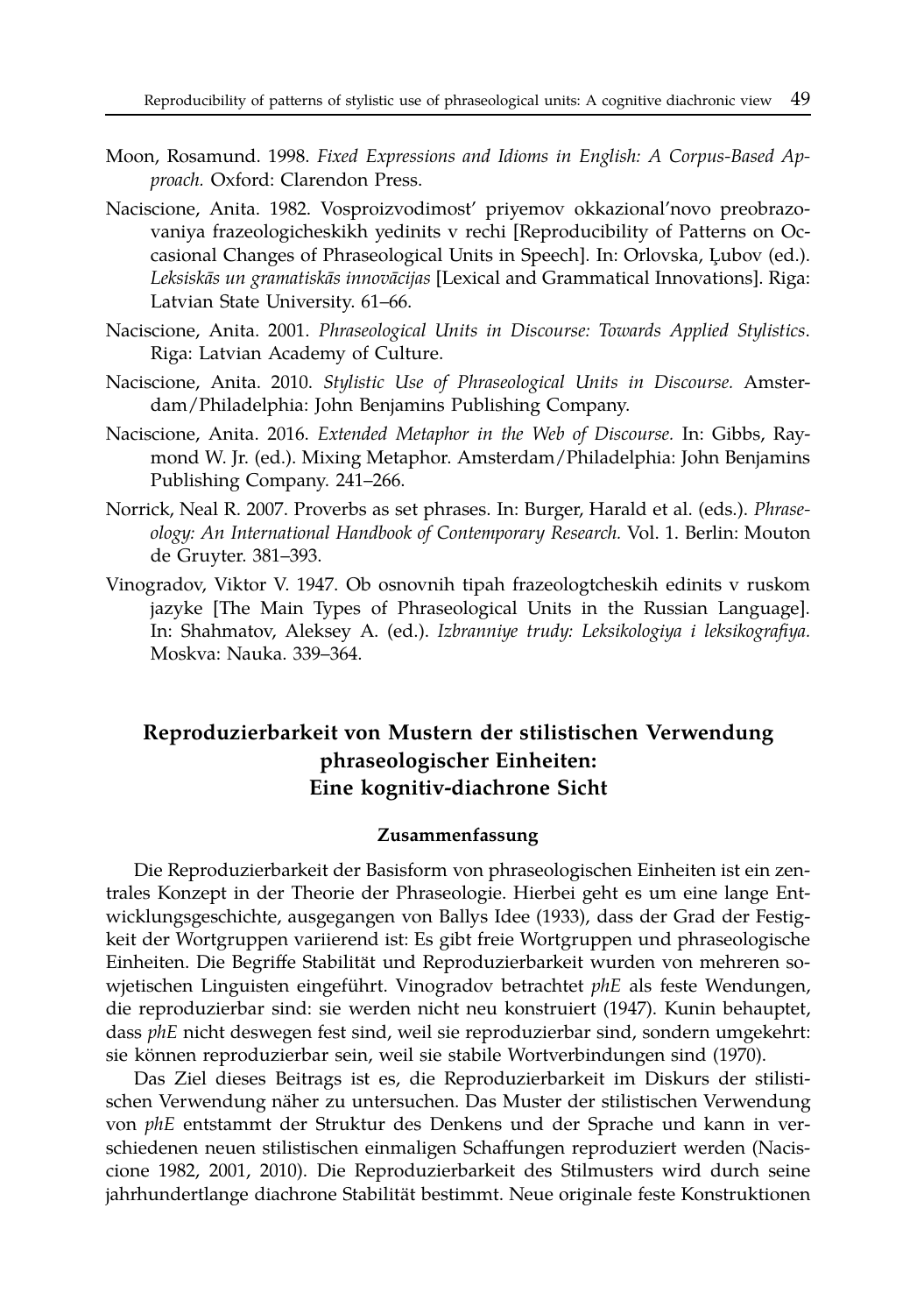- Moon, Rosamund. 1998. *Fixed Expressions and Idioms in English: A Corpus-Based Approach.* Oxford: Clarendon Press.
- Naciscione, Anita. 1982. Vosproizvodimost' priyemov okkazional'novo preobrazovaniya frazeologicheskikh yedinits v rechi [Reproducibility of Patterns on Occasional Changes of Phraseological Units in Speech]. In: Orlovska, Lubov (ed.). *Leksiskas un gramatisk ¯ as innov ¯ acijas ¯* [Lexical and Grammatical Innovations]. Riga: Latvian State University. 61–66.
- Naciscione, Anita. 2001. *Phraseological Units in Discourse: Towards Applied Stylistics*. Riga: Latvian Academy of Culture.
- Naciscione, Anita. 2010. *Stylistic Use of Phraseological Units in Discourse.* Amsterdam/Philadelphia: John Benjamins Publishing Company.
- Naciscione, Anita. 2016. *Extended Metaphor in the Web of Discourse.* In: Gibbs, Raymond W. Jr. (ed.). Mixing Metaphor. Amsterdam/Philadelphia: John Benjamins Publishing Company. 241–266.
- Norrick, Neal R. 2007. Proverbs as set phrases. In: Burger, Harald et al. (eds.). *Phraseology: An International Handbook of Contemporary Research.* Vol. 1. Berlin: Mouton de Gruyter. 381–393.
- Vinogradov, Viktor V. 1947. Ob osnovnih tipah frazeologtcheskih edinits v ruskom jazyke [The Main Types of Phraseological Units in the Russian Language]. In: Shahmatov, Aleksey A. (ed.). *Izbranniye trudy: Leksikologiya i leksikografiya.* Moskva: Nauka. 339–364.

## **Reproduzierbarkeit von Mustern der stilistischen Verwendung phraseologischer Einheiten: Eine kognitiv-diachrone Sicht**

#### **Zusammenfassung**

Die Reproduzierbarkeit der Basisform von phraseologischen Einheiten ist ein zentrales Konzept in der Theorie der Phraseologie. Hierbei geht es um eine lange Entwicklungsgeschichte, ausgegangen von Ballys Idee (1933), dass der Grad der Festigkeit der Wortgruppen variierend ist: Es gibt freie Wortgruppen und phraseologische Einheiten. Die Begriffe Stabilitat und Reproduzierbarkeit wurden von mehreren so- ¨ wjetischen Linguisten eingeführt. Vinogradov betrachtet phE als feste Wendungen, die reproduzierbar sind: sie werden nicht neu konstruiert (1947). Kunin behauptet, dass *phE* nicht deswegen fest sind, weil sie reproduzierbar sind, sondern umgekehrt: sie können reproduzierbar sein, weil sie stabile Wortverbindungen sind (1970).

Das Ziel dieses Beitrags ist es, die Reproduzierbarkeit im Diskurs der stilistischen Verwendung näher zu untersuchen. Das Muster der stilistischen Verwendung von *phE* entstammt der Struktur des Denkens und der Sprache und kann in verschiedenen neuen stilistischen einmaligen Schaffungen reproduziert werden (Naciscione 1982, 2001, 2010). Die Reproduzierbarkeit des Stilmusters wird durch seine jahrhundertlange diachrone Stabilität bestimmt. Neue originale feste Konstruktionen